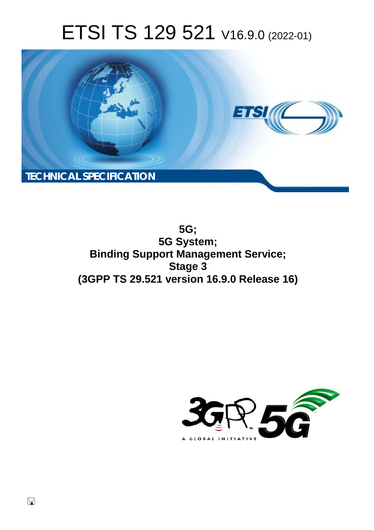# ETSI TS 129 521 V16.9.0 (2022-01)



**5G; 5G System; Binding Support Management Service; Stage 3 (3GPP TS 29.521 version 16.9.0 Release 16)** 

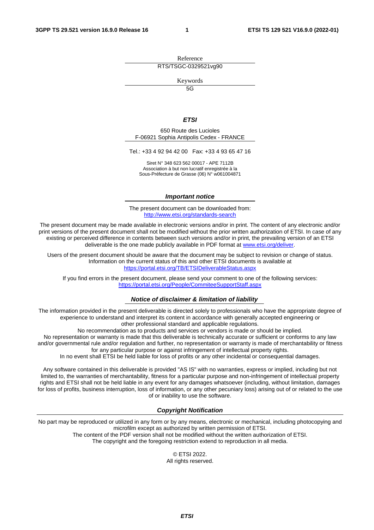Reference RTS/TSGC-0329521vg90

Keywords

 $\overline{5G}$ 

#### *ETSI*

650 Route des Lucioles F-06921 Sophia Antipolis Cedex - FRANCE

Tel.: +33 4 92 94 42 00 Fax: +33 4 93 65 47 16

Siret N° 348 623 562 00017 - APE 7112B Association à but non lucratif enregistrée à la Sous-Préfecture de Grasse (06) N° w061004871

#### *Important notice*

The present document can be downloaded from: <http://www.etsi.org/standards-search>

The present document may be made available in electronic versions and/or in print. The content of any electronic and/or print versions of the present document shall not be modified without the prior written authorization of ETSI. In case of any existing or perceived difference in contents between such versions and/or in print, the prevailing version of an ETSI deliverable is the one made publicly available in PDF format at [www.etsi.org/deliver](http://www.etsi.org/deliver).

Users of the present document should be aware that the document may be subject to revision or change of status. Information on the current status of this and other ETSI documents is available at <https://portal.etsi.org/TB/ETSIDeliverableStatus.aspx>

If you find errors in the present document, please send your comment to one of the following services: <https://portal.etsi.org/People/CommiteeSupportStaff.aspx>

#### *Notice of disclaimer & limitation of liability*

The information provided in the present deliverable is directed solely to professionals who have the appropriate degree of experience to understand and interpret its content in accordance with generally accepted engineering or other professional standard and applicable regulations.

No recommendation as to products and services or vendors is made or should be implied.

No representation or warranty is made that this deliverable is technically accurate or sufficient or conforms to any law and/or governmental rule and/or regulation and further, no representation or warranty is made of merchantability or fitness for any particular purpose or against infringement of intellectual property rights.

In no event shall ETSI be held liable for loss of profits or any other incidental or consequential damages.

Any software contained in this deliverable is provided "AS IS" with no warranties, express or implied, including but not limited to, the warranties of merchantability, fitness for a particular purpose and non-infringement of intellectual property rights and ETSI shall not be held liable in any event for any damages whatsoever (including, without limitation, damages for loss of profits, business interruption, loss of information, or any other pecuniary loss) arising out of or related to the use of or inability to use the software.

#### *Copyright Notification*

No part may be reproduced or utilized in any form or by any means, electronic or mechanical, including photocopying and microfilm except as authorized by written permission of ETSI. The content of the PDF version shall not be modified without the written authorization of ETSI.

The copyright and the foregoing restriction extend to reproduction in all media.

© ETSI 2022. All rights reserved.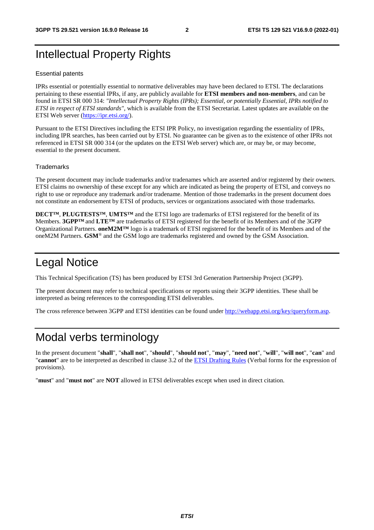# Intellectual Property Rights

#### Essential patents

IPRs essential or potentially essential to normative deliverables may have been declared to ETSI. The declarations pertaining to these essential IPRs, if any, are publicly available for **ETSI members and non-members**, and can be found in ETSI SR 000 314: *"Intellectual Property Rights (IPRs); Essential, or potentially Essential, IPRs notified to ETSI in respect of ETSI standards"*, which is available from the ETSI Secretariat. Latest updates are available on the ETSI Web server ([https://ipr.etsi.org/\)](https://ipr.etsi.org/).

Pursuant to the ETSI Directives including the ETSI IPR Policy, no investigation regarding the essentiality of IPRs, including IPR searches, has been carried out by ETSI. No guarantee can be given as to the existence of other IPRs not referenced in ETSI SR 000 314 (or the updates on the ETSI Web server) which are, or may be, or may become, essential to the present document.

#### **Trademarks**

The present document may include trademarks and/or tradenames which are asserted and/or registered by their owners. ETSI claims no ownership of these except for any which are indicated as being the property of ETSI, and conveys no right to use or reproduce any trademark and/or tradename. Mention of those trademarks in the present document does not constitute an endorsement by ETSI of products, services or organizations associated with those trademarks.

**DECT™**, **PLUGTESTS™**, **UMTS™** and the ETSI logo are trademarks of ETSI registered for the benefit of its Members. **3GPP™** and **LTE™** are trademarks of ETSI registered for the benefit of its Members and of the 3GPP Organizational Partners. **oneM2M™** logo is a trademark of ETSI registered for the benefit of its Members and of the oneM2M Partners. **GSM**® and the GSM logo are trademarks registered and owned by the GSM Association.

# Legal Notice

This Technical Specification (TS) has been produced by ETSI 3rd Generation Partnership Project (3GPP).

The present document may refer to technical specifications or reports using their 3GPP identities. These shall be interpreted as being references to the corresponding ETSI deliverables.

The cross reference between 3GPP and ETSI identities can be found under<http://webapp.etsi.org/key/queryform.asp>.

# Modal verbs terminology

In the present document "**shall**", "**shall not**", "**should**", "**should not**", "**may**", "**need not**", "**will**", "**will not**", "**can**" and "**cannot**" are to be interpreted as described in clause 3.2 of the [ETSI Drafting Rules](https://portal.etsi.org/Services/editHelp!/Howtostart/ETSIDraftingRules.aspx) (Verbal forms for the expression of provisions).

"**must**" and "**must not**" are **NOT** allowed in ETSI deliverables except when used in direct citation.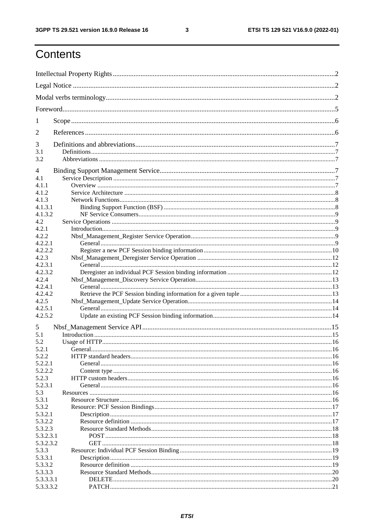$\mathbf{3}$ 

# Contents

| 1          |                |  |  |  |  |  |  |  |
|------------|----------------|--|--|--|--|--|--|--|
| 2          |                |  |  |  |  |  |  |  |
| 3          |                |  |  |  |  |  |  |  |
| 3.1<br>3.2 |                |  |  |  |  |  |  |  |
| 4          |                |  |  |  |  |  |  |  |
| 4.1        |                |  |  |  |  |  |  |  |
| 4.1.1      |                |  |  |  |  |  |  |  |
| 4.1.2      |                |  |  |  |  |  |  |  |
| 4.1.3      |                |  |  |  |  |  |  |  |
| 4.1.3.1    |                |  |  |  |  |  |  |  |
| 4.1.3.2    |                |  |  |  |  |  |  |  |
| 4.2        |                |  |  |  |  |  |  |  |
| 4.2.1      |                |  |  |  |  |  |  |  |
| 4.2.2      |                |  |  |  |  |  |  |  |
| 4.2.2.1    |                |  |  |  |  |  |  |  |
| 4.2.2.2    |                |  |  |  |  |  |  |  |
| 4.2.3      |                |  |  |  |  |  |  |  |
| 4.2.3.1    |                |  |  |  |  |  |  |  |
| 4.2.3.2    |                |  |  |  |  |  |  |  |
| 4.2.4      |                |  |  |  |  |  |  |  |
| 4.2.4.1    |                |  |  |  |  |  |  |  |
| 4.2.4.2    |                |  |  |  |  |  |  |  |
| 4.2.5      |                |  |  |  |  |  |  |  |
| 4.2.5.1    |                |  |  |  |  |  |  |  |
| 4.2.5.2    |                |  |  |  |  |  |  |  |
| 5          |                |  |  |  |  |  |  |  |
| 5.1        |                |  |  |  |  |  |  |  |
|            |                |  |  |  |  |  |  |  |
| 5.2        |                |  |  |  |  |  |  |  |
| 5.2.1      | <b>General</b> |  |  |  |  |  |  |  |
| 5.2.2      |                |  |  |  |  |  |  |  |
| 5.2.2.1    |                |  |  |  |  |  |  |  |
| 5.2.2.2    |                |  |  |  |  |  |  |  |
| 5.2.3      |                |  |  |  |  |  |  |  |
| 5.2.3.1    |                |  |  |  |  |  |  |  |
| 5.3        |                |  |  |  |  |  |  |  |
| 5.3.1      |                |  |  |  |  |  |  |  |
| 5.3.2      |                |  |  |  |  |  |  |  |
| 5.3.2.1    |                |  |  |  |  |  |  |  |
| 5.3.2.2    |                |  |  |  |  |  |  |  |
| 5.3.2.3    |                |  |  |  |  |  |  |  |
| 5.3.2.3.1  |                |  |  |  |  |  |  |  |
| 5.3.2.3.2  |                |  |  |  |  |  |  |  |
| 5.3.3      |                |  |  |  |  |  |  |  |
| 5.3.3.1    |                |  |  |  |  |  |  |  |
| 5.3.3.2    |                |  |  |  |  |  |  |  |
| 5.3.3.3    |                |  |  |  |  |  |  |  |
| 5.3.3.3.1  |                |  |  |  |  |  |  |  |
| 5.3.3.3.2  |                |  |  |  |  |  |  |  |
|            |                |  |  |  |  |  |  |  |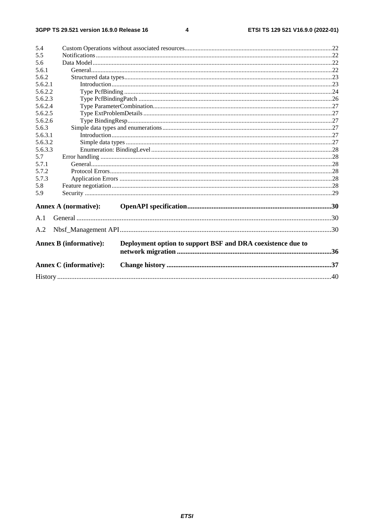#### $\overline{\mathbf{4}}$

| 5.4     |                                                                                              |  |  |  |  |  |  |  |
|---------|----------------------------------------------------------------------------------------------|--|--|--|--|--|--|--|
| 5.5     |                                                                                              |  |  |  |  |  |  |  |
| 5.6     |                                                                                              |  |  |  |  |  |  |  |
| 5.6.1   |                                                                                              |  |  |  |  |  |  |  |
| 5.6.2   |                                                                                              |  |  |  |  |  |  |  |
| 5.6.2.1 |                                                                                              |  |  |  |  |  |  |  |
| 5.6.2.2 |                                                                                              |  |  |  |  |  |  |  |
| 5.6.2.3 |                                                                                              |  |  |  |  |  |  |  |
| 5.6.2.4 |                                                                                              |  |  |  |  |  |  |  |
| 5.6.2.5 |                                                                                              |  |  |  |  |  |  |  |
| 5.6.2.6 |                                                                                              |  |  |  |  |  |  |  |
| 5.6.3   |                                                                                              |  |  |  |  |  |  |  |
| 5.6.3.1 |                                                                                              |  |  |  |  |  |  |  |
| 5.6.3.2 |                                                                                              |  |  |  |  |  |  |  |
| 5.6.3.3 |                                                                                              |  |  |  |  |  |  |  |
| 5.7     |                                                                                              |  |  |  |  |  |  |  |
| 5.7.1   |                                                                                              |  |  |  |  |  |  |  |
| 5.7.2   |                                                                                              |  |  |  |  |  |  |  |
| 5.7.3   |                                                                                              |  |  |  |  |  |  |  |
| 5.8     |                                                                                              |  |  |  |  |  |  |  |
| 5.9     |                                                                                              |  |  |  |  |  |  |  |
|         |                                                                                              |  |  |  |  |  |  |  |
|         | <b>Annex A (normative):</b>                                                                  |  |  |  |  |  |  |  |
| A.1     |                                                                                              |  |  |  |  |  |  |  |
| A.2     |                                                                                              |  |  |  |  |  |  |  |
|         | <b>Annex B</b> (informative):<br>Deployment option to support BSF and DRA coexistence due to |  |  |  |  |  |  |  |
|         | <b>Annex C</b> (informative):                                                                |  |  |  |  |  |  |  |
|         |                                                                                              |  |  |  |  |  |  |  |
|         |                                                                                              |  |  |  |  |  |  |  |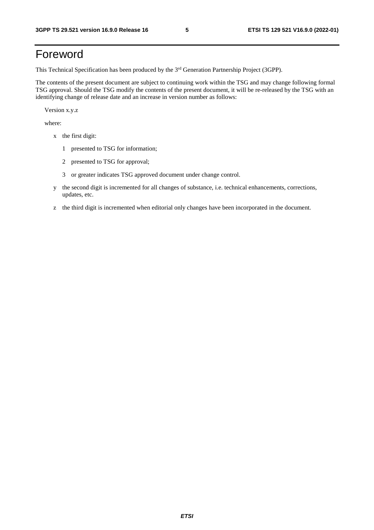# Foreword

This Technical Specification has been produced by the 3<sup>rd</sup> Generation Partnership Project (3GPP).

The contents of the present document are subject to continuing work within the TSG and may change following formal TSG approval. Should the TSG modify the contents of the present document, it will be re-released by the TSG with an identifying change of release date and an increase in version number as follows:

Version x.y.z

where:

- x the first digit:
	- 1 presented to TSG for information;
	- 2 presented to TSG for approval;
	- 3 or greater indicates TSG approved document under change control.
- y the second digit is incremented for all changes of substance, i.e. technical enhancements, corrections, updates, etc.
- z the third digit is incremented when editorial only changes have been incorporated in the document.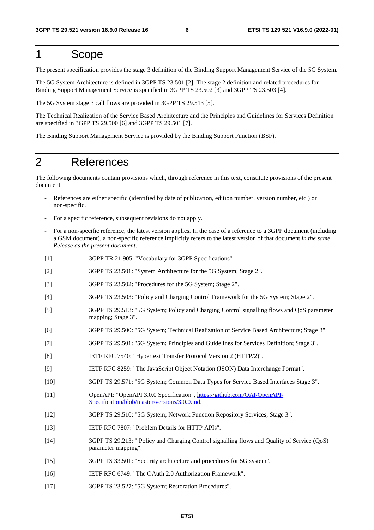# 1 Scope

The present specification provides the stage 3 definition of the Binding Support Management Service of the 5G System.

The 5G System Architecture is defined in 3GPP TS 23.501 [2]. The stage 2 definition and related procedures for Binding Support Management Service is specified in 3GPP TS 23.502 [3] and 3GPP TS 23.503 [4].

The 5G System stage 3 call flows are provided in 3GPP TS 29.513 [5].

The Technical Realization of the Service Based Architecture and the Principles and Guidelines for Services Definition are specified in 3GPP TS 29.500 [6] and 3GPP TS 29.501 [7].

The Binding Support Management Service is provided by the Binding Support Function (BSF).

# 2 References

The following documents contain provisions which, through reference in this text, constitute provisions of the present document.

- References are either specific (identified by date of publication, edition number, version number, etc.) or non-specific.
- For a specific reference, subsequent revisions do not apply.
- For a non-specific reference, the latest version applies. In the case of a reference to a 3GPP document (including a GSM document), a non-specific reference implicitly refers to the latest version of that document *in the same Release as the present document*.
- [1] 3GPP TR 21.905: "Vocabulary for 3GPP Specifications".
- [2] 3GPP TS 23.501: "System Architecture for the 5G System; Stage 2".
- [3] 3GPP TS 23.502: "Procedures for the 5G System; Stage 2".
- [4] 3GPP TS 23.503: "Policy and Charging Control Framework for the 5G System; Stage 2".
- [5] 3GPP TS 29.513: "5G System; Policy and Charging Control signalling flows and QoS parameter mapping; Stage 3".
- [6] 3GPP TS 29.500: "5G System; Technical Realization of Service Based Architecture; Stage 3".
- [7] 3GPP TS 29.501: "5G System; Principles and Guidelines for Services Definition; Stage 3".
- [8] IETF RFC 7540: "Hypertext Transfer Protocol Version 2 (HTTP/2)".
- [9] IETF RFC 8259: "The JavaScript Object Notation (JSON) Data Interchange Format".
- [10] 3GPP TS 29.571: "5G System; Common Data Types for Service Based Interfaces Stage 3".
- [11] OpenAPI: "OpenAPI 3.0.0 Specification", [https://github.com/OAI/OpenAPI](https://github.com/OAI/OpenAPI-Specification/blob/master/versions/3.0.0.md)-[Specification/blob/master/versions/3.0.0.md](https://github.com/OAI/OpenAPI-Specification/blob/master/versions/3.0.0.md).
- [12] 3GPP TS 29.510: "5G System; Network Function Repository Services; Stage 3".
- [13] IETF RFC 7807: "Problem Details for HTTP APIs".
- [14] 3GPP TS 29.213: " Policy and Charging Control signalling flows and Quality of Service (QoS) parameter mapping".
- [15] 3GPP TS 33.501: "Security architecture and procedures for 5G system".
- [16] IETF RFC 6749: "The OAuth 2.0 Authorization Framework".
- [17] 3GPP TS 23.527: "5G System; Restoration Procedures".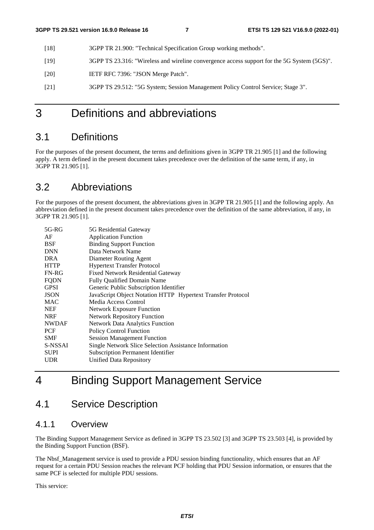- [18] 3GPP TR 21.900: "Technical Specification Group working methods".
- [19] 3GPP TS 23.316: "Wireless and wireline convergence access support for the 5G System (5GS)".
- [20] **IETF RFC 7396: "JSON Merge Patch".**
- [21] 3GPP TS 29.512: "5G System; Session Management Policy Control Service; Stage 3".

# 3 Definitions and abbreviations

# 3.1 Definitions

For the purposes of the present document, the terms and definitions given in 3GPP TR 21.905 [1] and the following apply. A term defined in the present document takes precedence over the definition of the same term, if any, in 3GPP TR 21.905 [1].

# 3.2 Abbreviations

For the purposes of the present document, the abbreviations given in 3GPP TR 21.905 [1] and the following apply. An abbreviation defined in the present document takes precedence over the definition of the same abbreviation, if any, in 3GPP TR 21.905 [1].

| $5G-RG$      | 5G Residential Gateway                                      |
|--------------|-------------------------------------------------------------|
| AF           | <b>Application Function</b>                                 |
| BSF          | <b>Binding Support Function</b>                             |
| <b>DNN</b>   | Data Network Name                                           |
| DRA          | Diameter Routing Agent                                      |
| <b>HTTP</b>  | <b>Hypertext Transfer Protocol</b>                          |
| <b>FN-RG</b> | <b>Fixed Network Residential Gateway</b>                    |
| <b>FQDN</b>  | <b>Fully Qualified Domain Name</b>                          |
| <b>GPSI</b>  | Generic Public Subscription Identifier                      |
| <b>JSON</b>  | JavaScript Object Notation HTTP Hypertext Transfer Protocol |
| <b>MAC</b>   | Media Access Control                                        |
| <b>NEF</b>   | <b>Network Exposure Function</b>                            |
| <b>NRF</b>   | <b>Network Repository Function</b>                          |
| <b>NWDAF</b> | <b>Network Data Analytics Function</b>                      |
| PCF          | <b>Policy Control Function</b>                              |
| <b>SMF</b>   | <b>Session Management Function</b>                          |
| S-NSSAI      | Single Network Slice Selection Assistance Information       |
| <b>SUPI</b>  | <b>Subscription Permanent Identifier</b>                    |
| UDR          | Unified Data Repository                                     |
|              |                                                             |

# 4 Binding Support Management Service

# 4.1 Service Description

# 4.1.1 Overview

The Binding Support Management Service as defined in 3GPP TS 23.502 [3] and 3GPP TS 23.503 [4], is provided by the Binding Support Function (BSF).

The Nbsf\_Management service is used to provide a PDU session binding functionality, which ensures that an AF request for a certain PDU Session reaches the relevant PCF holding that PDU Session information, or ensures that the same PCF is selected for multiple PDU sessions.

This service: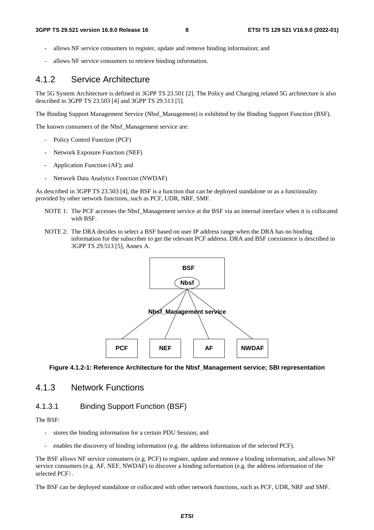- allows NF service consumers to register, update and remove binding information; and
- allows NF service consumers to retrieve binding information.

# 4.1.2 Service Architecture

The 5G System Architecture is defined in 3GPP TS 23.501 [2]. The Policy and Charging related 5G architecture is also described in 3GPP TS 23.503 [4] and 3GPP TS 29.513 [5].

The Binding Support Management Service (Nbsf\_Management) is exhibited by the Binding Support Function (BSF).

The known consumers of the Nbsf\_Management service are:

- Policy Control Function (PCF)
- Network Exposure Function (NEF)
- Application Function (AF); and
- Network Data Analytics Function (NWDAF)

As described in 3GPP TS 23.503 [4], the BSF is a function that can be deployed standalone or as a functionality provided by other network functions, such as PCF, UDR, NRF, SMF.

- NOTE 1: The PCF accesses the Nbsf\_Management service at the BSF via an internal interface when it is collocated with BSF.
- NOTE 2: The DRA decides to select a BSF based on user IP address range when the DRA has no binding information for the subscriber to get the relevant PCF address. DRA and BSF coexistence is described in 3GPP TS 29.513 [5], Annex A.



**Figure 4.1.2-1: Reference Architecture for the Nbsf\_Management service; SBI representation** 

### 4.1.3 Network Functions

### 4.1.3.1 Binding Support Function (BSF)

The BSF:

- stores the binding information for a certain PDU Session; and
- enables the discovery of binding information (e.g. the address information of the selected PCF).

The BSF allows NF service consumers (e.g. PCF) to register, update and remove a binding information, and allows NF service consumers (e.g. AF, NEF, NWDAF) to discover a binding information (e.g. the address information of the selected PCF).

The BSF can be deployed standalone or collocated with other network functions, such as PCF, UDR, NRF and SMF.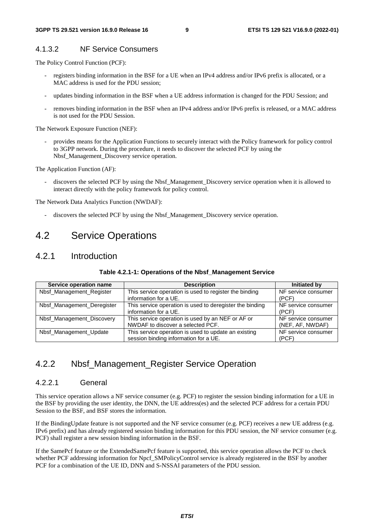#### 4.1.3.2 NF Service Consumers

The Policy Control Function (PCF):

- registers binding information in the BSF for a UE when an IPv4 address and/or IPv6 prefix is allocated, or a MAC address is used for the PDU session;
- updates binding information in the BSF when a UE address information is changed for the PDU Session; and
- removes binding information in the BSF when an IPv4 address and/or IPv6 prefix is released, or a MAC address is not used for the PDU Session.

The Network Exposure Function (NEF):

- provides means for the Application Functions to securely interact with the Policy framework for policy control to 3GPP network. During the procedure, it needs to discover the selected PCF by using the Nbsf\_Management\_Discovery service operation.

The Application Function (AF):

discovers the selected PCF by using the Nbsf\_Management\_Discovery service operation when it is allowed to interact directly with the policy framework for policy control.

The Network Data Analytics Function (NWDAF):

discovers the selected PCF by using the Nbsf\_Management\_Discovery service operation.

# 4.2 Service Operations

### 4.2.1 Introduction

| Service operation name     | <b>Description</b>                                                                            | Initiated by                            |
|----------------------------|-----------------------------------------------------------------------------------------------|-----------------------------------------|
| Nbsf_Management_Register   | This service operation is used to register the binding<br>information for a UE.               | NF service consumer<br>(PCF)            |
| Nbsf_Management_Deregister | This service operation is used to deregister the binding<br>information for a UE.             | NF service consumer<br>(PCF)            |
| Nbsf_Management_Discovery  | This service operation is used by an NEF or AF or<br>NWDAF to discover a selected PCF.        | NF service consumer<br>(NEF, AF, NWDAF) |
| Nbsf_Management_Update     | This service operation is used to update an existing<br>session binding information for a UE. | NF service consumer<br>(PCF)            |

#### **Table 4.2.1-1: Operations of the Nbsf\_Management Service**

# 4.2.2 Nbsf\_Management\_Register Service Operation

#### 4.2.2.1 General

This service operation allows a NF service consumer (e.g. PCF) to register the session binding information for a UE in the BSF by providing the user identity, the DNN, the UE address(es) and the selected PCF address for a certain PDU Session to the BSF, and BSF stores the information.

If the BindingUpdate feature is not supported and the NF service consumer (e.g. PCF) receives a new UE address (e.g. IPv6 prefix) and has already registered session binding information for this PDU session, the NF service consumer (e.g. PCF) shall register a new session binding information in the BSF.

If the SamePcf feature or the ExtendedSamePcf feature is supported, this service operation allows the PCF to check whether PCF addressing information for Npcf\_SMPolicyControl service is already registered in the BSF by another PCF for a combination of the UE ID, DNN and S-NSSAI parameters of the PDU session.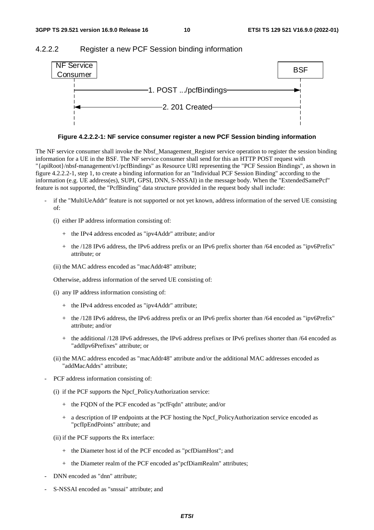#### 4.2.2.2 Register a new PCF Session binding information



**Figure 4.2.2.2-1: NF service consumer register a new PCF Session binding information** 

The NF service consumer shall invoke the Nbsf\_Management\_Register service operation to register the session binding information for a UE in the BSF. The NF service consumer shall send for this an HTTP POST request with "{apiRoot}/nbsf-management/v1/pcfBindings" as Resource URI representing the "PCF Session Bindings", as shown in figure 4.2.2.2-1, step 1, to create a binding information for an "Individual PCF Session Binding" according to the information (e.g. UE address(es), SUPI, GPSI, DNN, S-NSSAI) in the message body. When the "ExtendedSamePcf" feature is not supported, the "PcfBinding" data structure provided in the request body shall include:

- if the "MultiUeAddr" feature is not supported or not yet known, address information of the served UE consisting of:
	- (i) either IP address information consisting of:
		- + the IPv4 address encoded as "ipv4Addr" attribute; and/or
		- + the /128 IPv6 address, the IPv6 address prefix or an IPv6 prefix shorter than /64 encoded as "ipv6Prefix" attribute; or
	- (ii) the MAC address encoded as "macAddr48" attribute;

Otherwise, address information of the served UE consisting of:

- (i) any IP address information consisting of:
	- + the IPv4 address encoded as "ipv4Addr" attribute;
	- + the /128 IPv6 address, the IPv6 address prefix or an IPv6 prefix shorter than /64 encoded as "ipv6Prefix" attribute; and/or
	- + the additional /128 IPv6 addresses, the IPv6 address prefixes or IPv6 prefixes shorter than /64 encoded as "addIpv6Prefixes" attribute; or
- (ii) the MAC address encoded as "macAddr48" attribute and/or the additional MAC addresses encoded as "addMacAddrs" attribute;
- PCF address information consisting of:
	- (i) if the PCF supports the Npcf\_PolicyAuthorization service:
		- + the FQDN of the PCF encoded as "pcfFqdn" attribute; and/or
		- + a description of IP endpoints at the PCF hosting the Npcf\_PolicyAuthorization service encoded as "pcfIpEndPoints" attribute; and
	- (ii) if the PCF supports the Rx interface:
		- + the Diameter host id of the PCF encoded as "pcfDiamHost"; and
		- + the Diameter realm of the PCF encoded as"pcfDiamRealm" attributes;
- DNN encoded as "dnn" attribute;
- S-NSSAI encoded as "snssai" attribute; and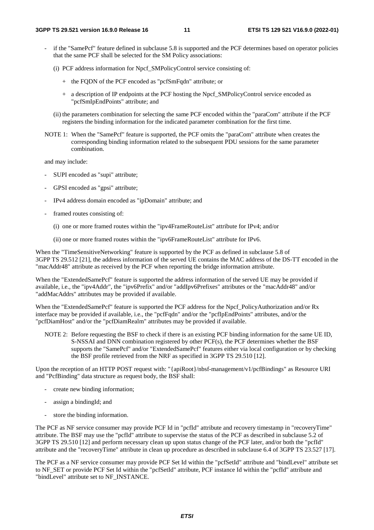- if the "SamePcf" feature defined in subclause 5.8 is supported and the PCF determines based on operator policies that the same PCF shall be selected for the SM Policy associations:
	- (i) PCF address information for Npcf\_SMPolicyControl service consisting of:
		- + the FQDN of the PCF encoded as "pcfSmFqdn" attribute; or
		- + a description of IP endpoints at the PCF hosting the Npcf\_SMPolicyControl service encoded as "pcfSmIpEndPoints" attribute; and
	- (ii) the parameters combination for selecting the same PCF encoded within the "paraCom" attribute if the PCF registers the binding information for the indicated parameter combination for the first time.
- NOTE 1: When the "SamePcf" feature is supported, the PCF omits the "paraCom" attribute when creates the corresponding binding information related to the subsequent PDU sessions for the same parameter combination.

and may include:

- SUPI encoded as "supi" attribute;
- GPSI encoded as "gpsi" attribute;
- IPv4 address domain encoded as "ipDomain" attribute; and
- framed routes consisting of:
	- (i) one or more framed routes within the "ipv4FrameRouteList" attribute for IPv4; and/or
	- (ii) one or more framed routes within the "ipv6FrameRouteList" attribute for IPv6.

When the "TimeSensitiveNetworking" feature is supported by the PCF as defined in subclause 5.8 of 3GPP TS 29.512 [21], the address information of the served UE contains the MAC address of the DS-TT encoded in the "macAddr48" attribute as received by the PCF when reporting the bridge information attribute.

When the "ExtendedSamePcf" feature is supported the address information of the served UE may be provided if available, i.e., the "ipv4Addr", the "ipv6Prefix" and/or "addIpv6Prefixes" attributes or the "macAddr48" and/or "addMacAddrs" attributes may be provided if available.

When the "ExtendedSamePcf" feature is supported the PCF address for the Npcf\_PolicyAuthorization and/or Rx interface may be provided if available, i.e., the "pcfFqdn" and/or the "pcfIpEndPoints" attributes, and/or the "pcfDiamHost" and/or the "pcfDiamRealm" attributes may be provided if available.

NOTE 2: Before requesting the BSF to check if there is an existing PCF binding information for the same UE ID, S-NSSAI and DNN combination registered by other PCF(s), the PCF determines whether the BSF supports the "SamePcf" and/or "ExtendedSamePcf" features either via local configuration or by checking the BSF profile retrieved from the NRF as specified in 3GPP TS 29.510 [12].

Upon the reception of an HTTP POST request with: "{apiRoot}/nbsf-management/v1/pcfBindings" as Resource URI and "PcfBinding" data structure as request body, the BSF shall:

- create new binding information;
- assign a bindingId; and
- store the binding information.

The PCF as NF service consumer may provide PCF Id in "pcfId" attribute and recovery timestamp in "recoveryTime" attribute. The BSF may use the "pcfId" attribute to supervise the status of the PCF as described in subclause 5.2 of 3GPP TS 29.510 [12] and perform necessary clean up upon status change of the PCF later, and/or both the "pcfId" attribute and the "recoveryTime" attribute in clean up procedure as described in subclause 6.4 of 3GPP TS 23.527 [17].

The PCF as a NF service consumer may provide PCF Set Id within the "pcfSetId" attribute and "bindLevel" attribute set to NF\_SET or provide PCF Set Id within the "pcfSetId" attribute, PCF instance Id within the "pcfId" attribute and "bindLevel" attribute set to NF\_INSTANCE.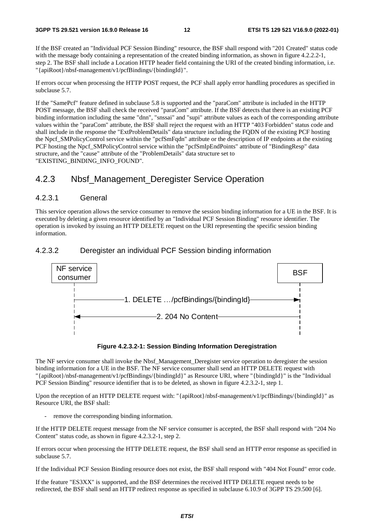If the BSF created an "Individual PCF Session Binding" resource, the BSF shall respond with "201 Created" status code with the message body containing a representation of the created binding information, as shown in figure 4.2.2.2-1, step 2. The BSF shall include a Location HTTP header field containing the URI of the created binding information, i.e. "{apiRoot}/nbsf-management/v1/pcfBindings/{bindingId}".

If errors occur when processing the HTTP POST request, the PCF shall apply error handling procedures as specified in subclause 5.7.

If the "SamePcf" feature defined in subclause 5.8 is supported and the "paraCom" attribute is included in the HTTP POST message, the BSF shall check the received "paraCom" attribute. If the BSF detects that there is an existing PCF binding information including the same "dnn", "snssai" and "supi" attribute values as each of the corresponding attribute values within the "paraCom" attribute, the BSF shall reject the request with an HTTP "403 Forbidden" status code and shall include in the response the "ExtProblemDetails" data structure including the FQDN of the existing PCF hosting the Npcf\_SMPolicyControl service within the "pcfSmFqdn" attribute or the description of IP endpoints at the existing PCF hosting the Npcf\_SMPolicyControl service within the "pcfSmIpEndPoints" attribute of "BindingResp" data structure, and the "cause" attribute of the "ProblemDetails" data structure set to "EXISTING\_BINDING\_INFO\_FOUND".

# 4.2.3 Nbsf\_Management\_Deregister Service Operation

#### 4.2.3.1 General

This service operation allows the service consumer to remove the session binding information for a UE in the BSF. It is executed by deleting a given resource identified by an "Individual PCF Session Binding" resource identifier. The operation is invoked by issuing an HTTP DELETE request on the URI representing the specific session binding information.

#### 4.2.3.2 Deregister an individual PCF Session binding information





The NF service consumer shall invoke the Nbsf\_Management\_Deregister service operation to deregister the session binding information for a UE in the BSF. The NF service consumer shall send an HTTP DELETE request with "{apiRoot}/nbsf-management/v1/pcfBindings/{bindingId}" as Resource URI, where "{bindingId}" is the "Individual PCF Session Binding" resource identifier that is to be deleted, as shown in figure 4.2.3.2-1, step 1.

Upon the reception of an HTTP DELETE request with: "{apiRoot}/nbsf-management/v1/pcfBindings/{bindingId}" as Resource URI, the BSF shall:

remove the corresponding binding information.

If the HTTP DELETE request message from the NF service consumer is accepted, the BSF shall respond with "204 No Content" status code, as shown in figure 4.2.3.2-1, step 2.

If errors occur when processing the HTTP DELETE request, the BSF shall send an HTTP error response as specified in subclause 5.7.

If the Individual PCF Session Binding resource does not exist, the BSF shall respond with "404 Not Found" error code.

If the feature "ES3XX" is supported, and the BSF determines the received HTTP DELETE request needs to be redirected, the BSF shall send an HTTP redirect response as specified in subclause 6.10.9 of 3GPP TS 29.500 [6].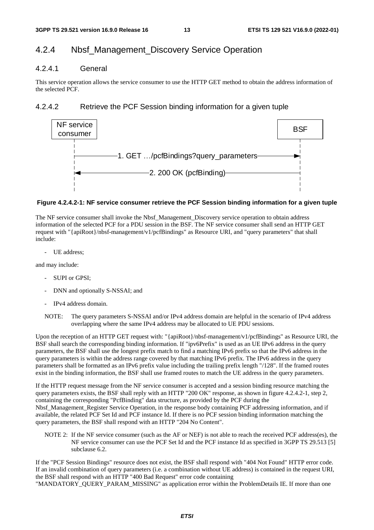# 4.2.4 Nbsf\_Management\_Discovery Service Operation

#### 4.2.4.1 General

This service operation allows the service consumer to use the HTTP GET method to obtain the address information of the selected PCF.

### 4.2.4.2 Retrieve the PCF Session binding information for a given tuple



#### **Figure 4.2.4.2-1: NF service consumer retrieve the PCF Session binding information for a given tuple**

The NF service consumer shall invoke the Nbsf\_Management\_Discovery service operation to obtain address information of the selected PCF for a PDU session in the BSF. The NF service consumer shall send an HTTP GET request with "{apiRoot}/nbsf-management/v1/pcfBindings" as Resource URI, and "query parameters" that shall include:

- UE address;

and may include:

- SUPI or GPSI;
- DNN and optionally S-NSSAI; and
- IPv4 address domain.
- NOTE: The query parameters S-NSSAI and/or IPv4 address domain are helpful in the scenario of IPv4 address overlapping where the same IPv4 address may be allocated to UE PDU sessions.

Upon the reception of an HTTP GET request with: "{apiRoot}/nbsf-management/v1/pcfBindings" as Resource URI, the BSF shall search the corresponding binding information. If "ipv6Prefix" is used as an UE IPv6 address in the query parameters, the BSF shall use the longest prefix match to find a matching IPv6 prefix so that the IPv6 address in the query parameters is within the address range covered by that matching IPv6 prefix. The IPv6 address in the query parameters shall be formatted as an IPv6 prefix value including the trailing prefix length "/128". If the framed routes exist in the binding information, the BSF shall use framed routes to match the UE address in the query parameters.

If the HTTP request message from the NF service consumer is accepted and a session binding resource matching the query parameters exists, the BSF shall reply with an HTTP "200 OK" response, as shown in figure 4.2.4.2-1, step 2, containing the corresponding "PcfBinding" data structure, as provided by the PCF during the Nbsf\_Management\_Register Service Operation, in the response body containing PCF addressing information, and if available, the related PCF Set Id and PCF instance Id. If there is no PCF session binding information matching the query parameters, the BSF shall respond with an HTTP "204 No Content".

NOTE 2: If the NF service consumer (such as the AF or NEF) is not able to reach the received PCF address(es), the NF service consumer can use the PCF Set Id and the PCF instance Id as specified in 3GPP TS 29.513 [5] subclause 6.2.

If the "PCF Session Bindings" resource does not exist, the BSF shall respond with "404 Not Found" HTTP error code. If an invalid combination of query parameters (i.e. a combination without UE address) is contained in the request URI, the BSF shall respond with an HTTP "400 Bad Request" error code containing

"MANDATORY\_QUERY\_PARAM\_MISSING" as application error within the ProblemDetails IE. If more than one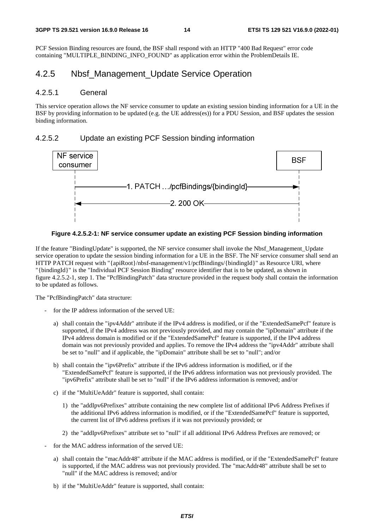PCF Session Binding resources are found, the BSF shall respond with an HTTP "400 Bad Request" error code containing "MULTIPLE\_BINDING\_INFO\_FOUND" as application error within the ProblemDetails IE.

### 4.2.5 Nbsf\_Management\_Update Service Operation

#### 4.2.5.1 General

This service operation allows the NF service consumer to update an existing session binding information for a UE in the BSF by providing information to be updated (e.g. the UE address(es)) for a PDU Session, and BSF updates the session binding information.

#### 4.2.5.2 Update an existing PCF Session binding information





If the feature "BindingUpdate" is supported, the NF service consumer shall invoke the Nbsf\_Management\_Update service operation to update the session binding information for a UE in the BSF. The NF service consumer shall send an HTTP PATCH request with "{apiRoot}/nbsf-management/v1/pcfBindings/{bindingId}" as Resource URI, where "{bindingId}" is the "Individual PCF Session Binding" resource identifier that is to be updated, as shown in figure 4.2.5.2-1, step 1. The "PcfBindingPatch" data structure provided in the request body shall contain the information to be updated as follows.

The "PcfBindingPatch" data structure:

- for the IP address information of the served UE:
	- a) shall contain the "ipv4Addr" attribute if the IPv4 address is modified, or if the "ExtendedSamePcf" feature is supported, if the IPv4 address was not previously provided, and may contain the "ipDomain" attribute if the IPv4 address domain is modified or if the "ExtendedSamePcf" feature is supported, if the IPv4 address domain was not previously provided and applies. To remove the IPv4 address the "ipv4Addr" attribute shall be set to "null" and if applicable, the "ipDomain" attribute shall be set to "null"; and/or
	- b) shall contain the "ipv6Prefix" attribute if the IPv6 address information is modified, or if the "ExtendedSamePcf" feature is supported, if the IPv6 address information was not previously provided. The "ipv6Prefix" attribute shall be set to "null" if the IPv6 address information is removed; and/or
	- c) if the "MultiUeAddr" feature is supported, shall contain:
		- 1) the "addIpv6Prefixes" attribute containing the new complete list of additional IPv6 Address Prefixes if the additional IPv6 address information is modified, or if the "ExtendedSamePcf" feature is supported, the current list of IPv6 address prefixes if it was not previously provided; or
		- 2) the "addIpv6Prefixes" attribute set to "null" if all additional IPv6 Address Prefixes are removed; or
- for the MAC address information of the served UE:
	- a) shall contain the "macAddr48" attribute if the MAC address is modified, or if the "ExtendedSamePcf" feature is supported, if the MAC address was not previously provided. The "macAddr48" attribute shall be set to "null" if the MAC address is removed; and/or
	- b) if the "MultiUeAddr" feature is supported, shall contain: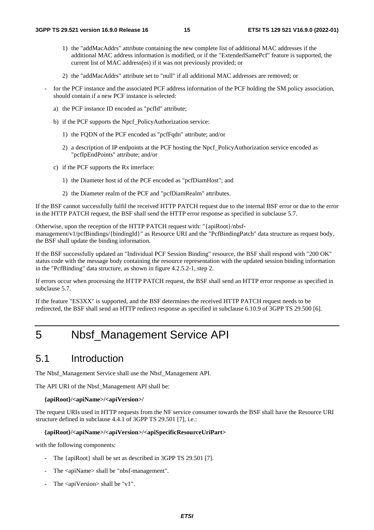- 1) the "addMacAddrs" attribute containing the new complete list of additional MAC addresses if the additional MAC address information is modified, or if the "ExtendedSamePcf" feature is supported, the current list of MAC address(es) if it was not previously provided; or
- 2) the "addMacAddrs" attribute set to "null" if all additional MAC addresses are removed; or
- for the PCF instance and the associated PCF address information of the PCF holding the SM policy association, should contain if a new PCF instance is selected:
	- a) the PCF instance ID encoded as "pcfId" attribute;
	- b) if the PCF supports the Npcf\_PolicyAuthorization service:
		- 1) the FQDN of the PCF encoded as "pcfFqdn" attribute; and/or
		- 2) a description of IP endpoints at the PCF hosting the Npcf\_PolicyAuthorization service encoded as "pcfIpEndPoints" attribute; and/or
	- c) if the PCF supports the Rx interface:
		- 1) the Diameter host id of the PCF encoded as "pcfDiamHost"; and
		- 2) the Diameter realm of the PCF and "pcfDiamRealm" attributes.

If the BSF cannot successfully fulfil the received HTTP PATCH request due to the internal BSF error or due to the error in the HTTP PATCH request, the BSF shall send the HTTP error response as specified in subclause 5.7.

Otherwise, upon the reception of the HTTP PATCH request with: "{apiRoot}/nbsfmanagement/v1/pcfBindings/{bindingId}" as Resource URI and the "PcfBindingPatch" data structure as request body, the BSF shall update the binding information.

If the BSF successfully updated an "Individual PCF Session Binding" resource, the BSF shall respond with "200 OK" status code with the message body containing the resource representation with the updated session binding information in the "PcfBinding" data structure, as shown in figure 4.2.5.2-1, step 2.

If errors occur when processing the HTTP PATCH request, the BSF shall send an HTTP error response as specified in subclause 5.7.

If the feature "ES3XX" is supported, and the BSF determines the received HTTP PATCH request needs to be redirected, the BSF shall send an HTTP redirect response as specified in subclause 6.10.9 of 3GPP TS 29.500 [6].

# 5 Nbsf\_Management Service API

# 5.1 Introduction

The Nbsf\_Management Service shall use the Nbsf\_Management API.

The API URI of the Nbsf\_Management API shall be:

#### **{apiRoot}/<apiName>/<apiVersion>/**

The request URIs used in HTTP requests from the NF service consumer towards the BSF shall have the Resource URI structure defined in subclause 4.4.1 of 3GPP TS 29.501 [7], i.e.:

#### **{apiRoot}/<apiName>/<apiVersion>/<apiSpecificResourceUriPart>**

with the following components:

- The {apiRoot} shall be set as described in 3GPP TS 29.501 [7].
- The <apiName> shall be "nbsf-management".
- The  $\langle$ apiVersion $\rangle$  shall be "v1".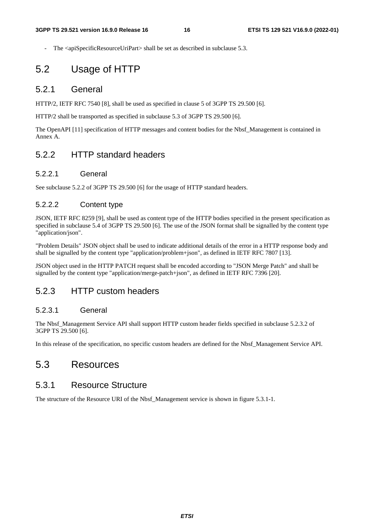The <apiSpecificResourceUriPart> shall be set as described in subclause 5.3.

# 5.2 Usage of HTTP

### 5.2.1 General

HTTP/2, IETF RFC 7540 [8], shall be used as specified in clause 5 of 3GPP TS 29.500 [6].

HTTP/2 shall be transported as specified in subclause 5.3 of 3GPP TS 29.500 [6].

The OpenAPI [11] specification of HTTP messages and content bodies for the Nbsf\_Management is contained in Annex A.

### 5.2.2 HTTP standard headers

#### 5.2.2.1 General

See subclause 5.2.2 of 3GPP TS 29.500 [6] for the usage of HTTP standard headers.

### 5.2.2.2 Content type

JSON, IETF RFC 8259 [9], shall be used as content type of the HTTP bodies specified in the present specification as specified in subclause 5.4 of 3GPP TS 29.500 [6]. The use of the JSON format shall be signalled by the content type "application/json".

"Problem Details" JSON object shall be used to indicate additional details of the error in a HTTP response body and shall be signalled by the content type "application/problem+json", as defined in IETF RFC 7807 [13].

JSON object used in the HTTP PATCH request shall be encoded according to "JSON Merge Patch" and shall be signalled by the content type "application/merge-patch+json", as defined in IETF RFC 7396 [20].

### 5.2.3 HTTP custom headers

### 5.2.3.1 General

The Nbsf\_Management Service API shall support HTTP custom header fields specified in subclause 5.2.3.2 of 3GPP TS 29.500 [6].

In this release of the specification, no specific custom headers are defined for the Nbsf\_Management Service API.

# 5.3 Resources

### 5.3.1 Resource Structure

The structure of the Resource URI of the Nbsf. Management service is shown in figure 5.3.1-1.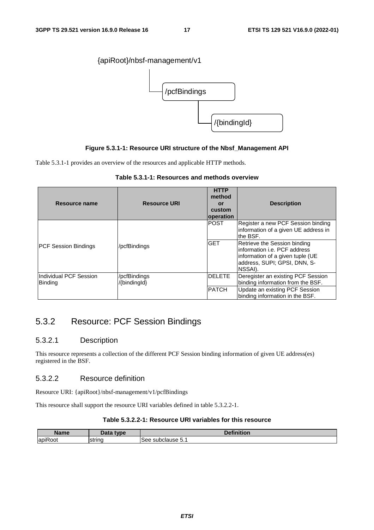

#### **Figure 5.3.1-1: Resource URI structure of the Nbsf\_Management API**

Table 5.3.1-1 provides an overview of the resources and applicable HTTP methods.

| Table 5.3.1-1: Resources and methods overview |  |  |  |  |  |  |  |
|-----------------------------------------------|--|--|--|--|--|--|--|
|-----------------------------------------------|--|--|--|--|--|--|--|

| Resource name                            | <b>Resource URI</b>          | <b>HTTP</b><br>method<br>or<br>custom<br>operation | <b>Description</b>                                                                                                                                    |
|------------------------------------------|------------------------------|----------------------------------------------------|-------------------------------------------------------------------------------------------------------------------------------------------------------|
|                                          |                              | <b>POST</b>                                        | Register a new PCF Session binding<br>information of a given UE address in<br>the BSF.                                                                |
| <b>PCF Session Bindings</b>              | /pcfBindings                 | <b>GET</b>                                         | Retrieve the Session binding<br>linformation i.e. PCF address<br>information of a given tuple (UE<br>laddress. SUPI: GPSI. DNN. S-<br><b>NSSAI</b> ). |
| Individual PCF Session<br><b>Binding</b> | /pcfBindings<br>/{bindingld} | <b>DELETE</b>                                      | Deregister an existing PCF Session<br>binding information from the BSF.                                                                               |
|                                          |                              | <b>PATCH</b>                                       | Update an existing PCF Session<br>binding information in the BSF.                                                                                     |

# 5.3.2 Resource: PCF Session Bindings

#### 5.3.2.1 Description

This resource represents a collection of the different PCF Session binding information of given UE address(es) registered in the BSF.

### 5.3.2.2 Resource definition

Resource URI: {apiRoot}/nbsf-management/v1/pcfBindings

This resource shall support the resource URI variables defined in table 5.3.2.2-1.

#### **Table 5.3.2.2-1: Resource URI variables for this resource**

| Nama<br>шс                                       | <b>LVDE</b><br>----- | $-1$<br>- -               |
|--------------------------------------------------|----------------------|---------------------------|
| $\cdot$ $\sim$<br>lapil<br>$\sim$ $\sim$<br>JOT. | Istrinc              | sur<br>pciause 5.<br>---- |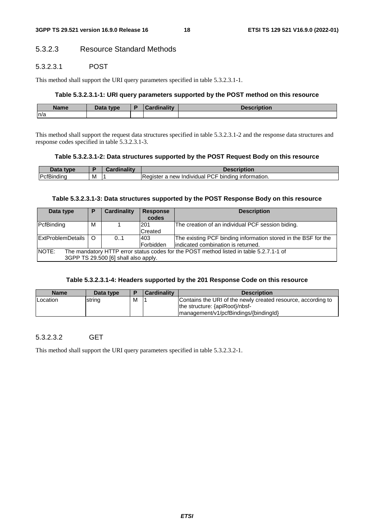### 5.3.2.3 Resource Standard Methods

#### 5.3.2.3.1 POST

This method shall support the URI query parameters specified in table 5.3.2.3.1-1.

#### **Table 5.3.2.3.1-1: URI query parameters supported by the POST method on this resource**

| <b>Name</b> | Data type.<br>Dala | .<br><b>STATISTICS</b><br>i 100 a 1 i 1 v 1 | <b>SARAFIALIAR</b><br>Description |
|-------------|--------------------|---------------------------------------------|-----------------------------------|
| m/a         |                    |                                             |                                   |

This method shall support the request data structures specified in table 5.3.2.3.1-2 and the response data structures and response codes specified in table 5.3.2.3.1-3.

#### **Table 5.3.2.3.1-2: Data structures supported by the POST Request Body on this resource**

| Data<br>type |   | Cardinality | scription?                                                             |
|--------------|---|-------------|------------------------------------------------------------------------|
| PcfBinding   | M |             | <b>PCF</b><br>information.<br>bindina<br>Individual<br>Redister<br>new |

#### **Table 5.3.2.3.1-3: Data structures supported by the POST Response Body on this resource**

| Data type                                                                                                                                      | P | <b>Cardinality</b> | <b>Response</b><br>codes | <b>Description</b>                                                                                   |  |  |
|------------------------------------------------------------------------------------------------------------------------------------------------|---|--------------------|--------------------------|------------------------------------------------------------------------------------------------------|--|--|
| PcfBinding                                                                                                                                     | м |                    | 201<br>Created           | The creation of an individual PCF session biding.                                                    |  |  |
| ExtProblemDetails   O                                                                                                                          |   | 0.1                | 403<br>Forbidden         | The existing PCF binding information stored in the BSF for the<br>indicated combination is returned. |  |  |
| <b>NOTE:</b><br>The mandatory HTTP error status codes for the POST method listed in table 5.2.7.1-1 of<br>3GPP TS 29.500 [6] shall also apply. |   |                    |                          |                                                                                                      |  |  |

#### **Table 5.3.2.3.1-4: Headers supported by the 201 Response Code on this resource**

| <b>Name</b>     | Data type | Ð | <b>Cardinality</b> | <b>Description</b>                                                                                                                      |
|-----------------|-----------|---|--------------------|-----------------------------------------------------------------------------------------------------------------------------------------|
| <b>Location</b> | string    | M |                    | Contains the URI of the newly created resource, according to<br>the structure: {apiRoot}/nbsf-<br>management/v1/pcfBindings/{bindingld} |

### 5.3.2.3.2 GET

This method shall support the URI query parameters specified in table 5.3.2.3.2-1.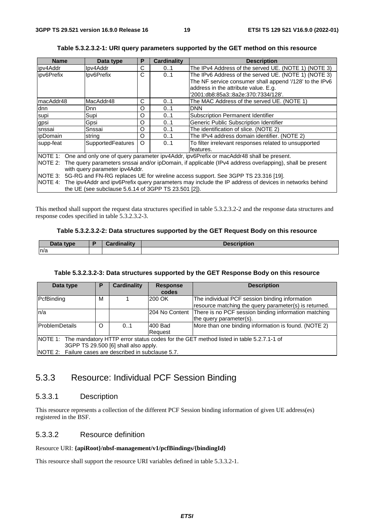| <b>Name</b>                                                                               | Data type                | P | <b>Cardinality</b> | <b>Description</b>                                                                                              |  |
|-------------------------------------------------------------------------------------------|--------------------------|---|--------------------|-----------------------------------------------------------------------------------------------------------------|--|
| ipv4Addr                                                                                  | lpv4Addr                 | С | 01                 | The IPv4 Address of the served UE. (NOTE 1) (NOTE 3)                                                            |  |
| lipv6Prefix                                                                               | Ipv6Prefix               | С | 0.1                | The IPv6 Address of the served UE. (NOTE 1) (NOTE 3)                                                            |  |
|                                                                                           |                          |   |                    | The NF service consumer shall append '/128' to the IPv6                                                         |  |
|                                                                                           |                          |   |                    | address in the attribute value. E.g.                                                                            |  |
|                                                                                           |                          |   |                    | '2001:db8:85a3::8a2e:370:7334/128'.                                                                             |  |
| ImacAddr48                                                                                | MacAddr48                | С | 01                 | The MAC Address of the served UE. (NOTE 1)                                                                      |  |
| dnn                                                                                       | Dnn                      | O | 0.1                | <b>DNN</b>                                                                                                      |  |
| supi                                                                                      | Supi                     | O | 0.1                | Subscription Permanent Identifier                                                                               |  |
| gpsi                                                                                      | Gpsi                     | O | 0.1                | Generic Public Subscription Identifier                                                                          |  |
| snssai                                                                                    | Snssai                   | O | 01                 | The identification of slice. (NOTE 2)                                                                           |  |
| <i>ipDomain</i>                                                                           | string                   | O | 01                 | The IPv4 address domain identifier. (NOTE 2)                                                                    |  |
| supp-feat                                                                                 | <b>SupportedFeatures</b> | O | 01                 | To filter irrelevant responses related to unsupported                                                           |  |
|                                                                                           |                          |   |                    | features.                                                                                                       |  |
|                                                                                           |                          |   |                    | NOTE 1: One and only one of query parameter ipv4Addr, ipv6Prefix or macAddr48 shall be present.                 |  |
|                                                                                           |                          |   |                    | NOTE 2: The query parameters snssai and/or ipDomain, if applicable (IPv4 address overlapping), shall be present |  |
| with query parameter ipv4Addr.                                                            |                          |   |                    |                                                                                                                 |  |
| NOTE 3: 5G-RG and FN-RG replaces UE for wireline access support. See 3GPP TS 23.316 [19]. |                          |   |                    |                                                                                                                 |  |
|                                                                                           |                          |   |                    | NOTE 4: The ipv4Addr and ipv6Prefix query parameters may include the IP address of devices in networks behind   |  |
| the UE (see subclause 5.6.14 of 3GPP TS 23.501 [2]).                                      |                          |   |                    |                                                                                                                 |  |

#### **Table 5.3.2.3.2-1: URI query parameters supported by the GET method on this resource**

This method shall support the request data structures specified in table 5.3.2.3.2-2 and the response data structures and response codes specified in table 5.3.2.3.2-3.

#### **Table 5.3.2.3.2-2: Data structures supported by the GET Request Body on this resource**

| Data type | <b>Cordinality</b><br> | Docorintiar<br><b>Description</b> |
|-----------|------------------------|-----------------------------------|
| n/a       |                        |                                   |

#### **Table 5.3.2.3.2-3: Data structures supported by the GET Response Body on this resource**

| Data type                                             | Р                                    | <b>Cardinality</b> | <b>Response</b> | <b>Description</b>                                                                            |  |  |
|-------------------------------------------------------|--------------------------------------|--------------------|-----------------|-----------------------------------------------------------------------------------------------|--|--|
|                                                       |                                      |                    | codes           |                                                                                               |  |  |
| PcfBinding                                            | M                                    |                    | 200 OK          | The individual PCF session binding information                                                |  |  |
|                                                       |                                      |                    |                 | resource matching the query parameter(s) is returned.                                         |  |  |
| n/a                                                   |                                      |                    |                 | 204 No Content There is no PCF session binding information matching                           |  |  |
|                                                       |                                      |                    |                 | the query parameter(s).                                                                       |  |  |
| ProblemDetails                                        | O                                    | 0.1                | 1400 Bad        | More than one binding information is found. (NOTE 2)                                          |  |  |
|                                                       |                                      |                    | Reauest         |                                                                                               |  |  |
|                                                       |                                      |                    |                 | NOTE 1: The mandatory HTTP error status codes for the GET method listed in table 5.2.7.1-1 of |  |  |
|                                                       | 3GPP TS 29.500 [6] shall also apply. |                    |                 |                                                                                               |  |  |
| NOTE 2: Failure cases are described in subclause 5.7. |                                      |                    |                 |                                                                                               |  |  |

# 5.3.3 Resource: Individual PCF Session Binding

### 5.3.3.1 Description

This resource represents a collection of the different PCF Session binding information of given UE address(es) registered in the BSF.

#### 5.3.3.2 Resource definition

#### Resource URI: **{apiRoot}/nbsf-management/v1/pcfBindings/{bindingId}**

This resource shall support the resource URI variables defined in table 5.3.3.2-1.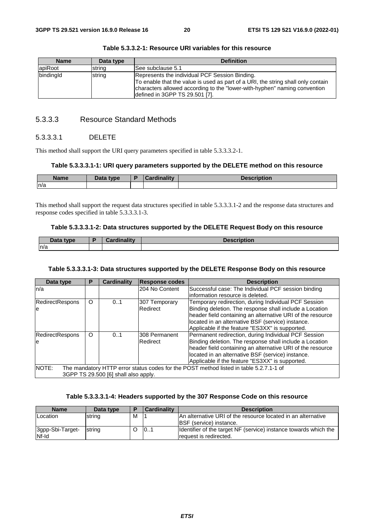| <b>Name</b> | Data type | <b>Definition</b>                                                                                                                                                                                                                                 |
|-------------|-----------|---------------------------------------------------------------------------------------------------------------------------------------------------------------------------------------------------------------------------------------------------|
| apiRoot     | string    | See subclause 5.1                                                                                                                                                                                                                                 |
| bindingld   | string    | Represents the individual PCF Session Binding.<br>To enable that the value is used as part of a URI, the string shall only contain<br>characters allowed according to the "lower-with-hyphen" naming convention<br>defined in 3GPP TS 29.501 [7]. |

**Table 5.3.3.2-1: Resource URI variables for this resource** 

### 5.3.3.3 Resource Standard Methods

#### 5.3.3.3.1 DELETE

This method shall support the URI query parameters specified in table 5.3.3.3.2-1.

#### **Table 5.3.3.3.1-1: URI query parameters supported by the DELETE method on this resource**

| Name | Data type<br>Putu | - 1945 - | ription<br>. |
|------|-------------------|----------|--------------|
| ln/a |                   |          |              |

This method shall support the request data structures specified in table 5.3.3.3.1-2 and the response data structures and response codes specified in table 5.3.3.3.1-3.

#### **Table 5.3.3.3.1-2: Data structures supported by the DELETE Request Body on this resource**

| Data type | أتستعدل والمسترا المستمركة | <b>Description</b> |
|-----------|----------------------------|--------------------|
| ln/a      |                            |                    |

#### **Table 5.3.3.3.1-3: Data structures supported by the DELETE Response Body on this resource**

| Data type                                                                                       | P       | <b>Cardinality</b> | <b>Response codes</b> | <b>Description</b>                                         |  |
|-------------------------------------------------------------------------------------------------|---------|--------------------|-----------------------|------------------------------------------------------------|--|
| ln/a                                                                                            |         |                    | 204 No Content        | Successful case: The Individual PCF session binding        |  |
|                                                                                                 |         |                    |                       | linformation resource is deleted.                          |  |
| <b>RedirectRespons</b>                                                                          | $\circ$ | 0.1                | 307 Temporary         | Temporary redirection, during Individual PCF Session       |  |
| le                                                                                              |         |                    | Redirect              | Binding deletion. The response shall include a Location    |  |
|                                                                                                 |         |                    |                       | header field containing an alternative URI of the resource |  |
|                                                                                                 |         |                    |                       | located in an alternative BSF (service) instance.          |  |
|                                                                                                 |         |                    |                       | Applicable if the feature "ES3XX" is supported.            |  |
| <b>RedirectRespons</b>                                                                          | O       | 0.1                | 308 Permanent         | Permanent redirection, during Individual PCF Session       |  |
| le                                                                                              |         |                    | Redirect              | Binding deletion. The response shall include a Location    |  |
|                                                                                                 |         |                    |                       | header field containing an alternative URI of the resource |  |
|                                                                                                 |         |                    |                       | located in an alternative BSF (service) instance.          |  |
|                                                                                                 |         |                    |                       | Applicable if the feature "ES3XX" is supported.            |  |
| NOTE:<br>The mandatory HTTP error status codes for the POST method listed in table 5.2.7.1-1 of |         |                    |                       |                                                            |  |
| 3GPP TS 29.500 [6] shall also apply.                                                            |         |                    |                       |                                                            |  |

#### **Table 5.3.3.3.1-4: Headers supported by the 307 Response Code on this resource**

| <b>Name</b>      | Data type      |   | <b>Cardinality</b> | <b>Description</b>                                               |
|------------------|----------------|---|--------------------|------------------------------------------------------------------|
| <b>ILocation</b> | string         | M |                    | IAn alternative URI of the resource located in an alternative    |
|                  |                |   |                    | <b>IBSF</b> (service) instance.                                  |
| 3gpp-Sbi-Target- | <b>Istring</b> |   | 101                | Identifier of the target NF (service) instance towards which the |
| Nf-Id            |                |   |                    | request is redirected.                                           |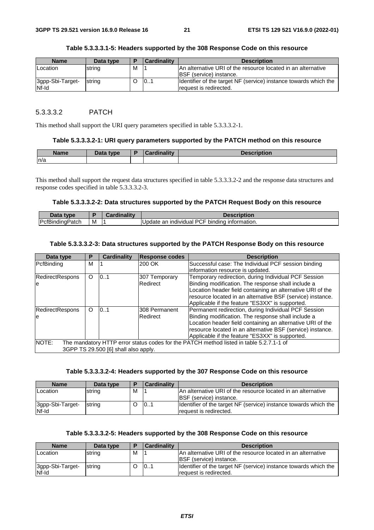| <b>Name</b>               | Data type      | D | <b>Cardinality</b> | <b>Description</b>                                                                               |
|---------------------------|----------------|---|--------------------|--------------------------------------------------------------------------------------------------|
| <b>Location</b>           | string         | м |                    | IAn alternative URI of the resource located in an alternative<br><b>IBSF</b> (service) instance. |
| 3gpp-Sbi-Target-<br>Nf-Id | <b>Istring</b> |   | 101                | Identifier of the target NF (service) instance towards which the<br>Irequest is redirected.      |

#### **Table 5.3.3.3.1-5: Headers supported by the 308 Response Code on this resource**

#### 5.3.3.3.2 PATCH

This method shall support the URI query parameters specified in table 5.3.3.3.2-1.

#### **Table 5.3.3.3.2-1: URI query parameters supported by the PATCH method on this resource**

| <b>Name</b> | <b>Pata type</b> | dinality<br>$\overline{\phantom{a}}$ | <b>JAAAHIMLIAH</b><br>Description |
|-------------|------------------|--------------------------------------|-----------------------------------|
| n/a         |                  |                                      |                                   |

This method shall support the request data structures specified in table 5.3.3.3.2-2 and the response data structures and response codes specified in table 5.3.3.3.2-3.

#### **Table 5.3.3.3.2-2: Data structures supported by the PATCH Request Body on this resource**

| Data type       |   | <b>Cardinality</b> | <b>Description</b>                            |
|-----------------|---|--------------------|-----------------------------------------------|
| PcfBindingPatch | M |                    | Update an individual PCF binding information. |

#### **Table 5.3.3.3.2-3: Data structures supported by the PATCH Response Body on this resource**

| Data type                                                                                                | Р       | <b>Cardinality</b>                   | <b>Response codes</b> | <b>Description</b>                                         |  |
|----------------------------------------------------------------------------------------------------------|---------|--------------------------------------|-----------------------|------------------------------------------------------------|--|
| PcfBinding                                                                                               | м       |                                      | 200 OK                | Successful case: The Individual PCF session binding        |  |
|                                                                                                          |         |                                      |                       | information resource is updated.                           |  |
| RedirectRespons                                                                                          | O       | 101                                  | 307 Temporary         | Temporary redirection, during Individual PCF Session       |  |
| le                                                                                                       |         |                                      | Redirect              | Binding modification. The response shall include a         |  |
|                                                                                                          |         |                                      |                       | Location header field containing an alternative URI of the |  |
|                                                                                                          |         |                                      |                       | resource located in an alternative BSF (service) instance. |  |
|                                                                                                          |         |                                      |                       | Applicable if the feature "ES3XX" is supported.            |  |
| <b>RedirectRespons</b>                                                                                   | $\circ$ | 0.1                                  | 308 Permanent         | Permanent redirection, during Individual PCF Session       |  |
| le                                                                                                       |         |                                      | Redirect              | Binding modification. The response shall include a         |  |
|                                                                                                          |         |                                      |                       | Location header field containing an alternative URI of the |  |
|                                                                                                          |         |                                      |                       | resource located in an alternative BSF (service) instance. |  |
|                                                                                                          |         |                                      |                       | Applicable if the feature "ES3XX" is supported.            |  |
| <b>INOTE:</b><br>The mandatory HTTP error status codes for the PATCH method listed in table 5.2.7.1-1 of |         |                                      |                       |                                                            |  |
|                                                                                                          |         | 3GPP TS 29.500 [6] shall also apply. |                       |                                                            |  |

#### **Table 5.3.3.3.2-4: Headers supported by the 307 Response Code on this resource**

| <b>Name</b>               | Data type | ь | Cardinality | <b>Description</b>                                                                          |
|---------------------------|-----------|---|-------------|---------------------------------------------------------------------------------------------|
| Location                  | string    | M |             | IAn alternative URI of the resource located in an alternative                               |
|                           |           |   |             | <b>IBSF</b> (service) instance.                                                             |
| 3gpp-Sbi-Target-<br>Nf-Id | strina    |   | 101         | Identifier of the target NF (service) instance towards which the<br>Irequest is redirected. |

#### **Table 5.3.3.3.2-5: Headers supported by the 308 Response Code on this resource**

| <b>Name</b>               | Data type | Е | <b>Cardinality</b> | <b>Description</b>                                                                              |
|---------------------------|-----------|---|--------------------|-------------------------------------------------------------------------------------------------|
| <b>Location</b>           | string    | M |                    | An alternative URI of the resource located in an alternative<br><b>IBSF</b> (service) instance. |
| 3gpp-Sbi-Target-<br>Nf-Id | string    |   | 101                | Identifier of the target NF (service) instance towards which the<br>request is redirected.      |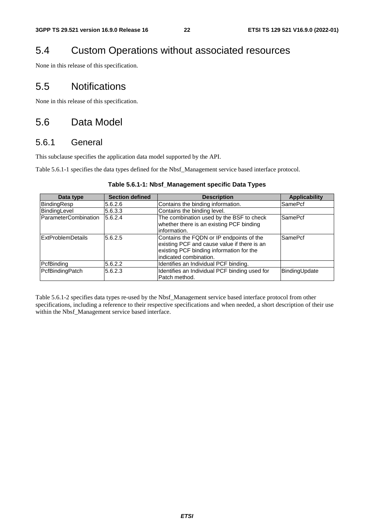# 5.4 Custom Operations without associated resources

None in this release of this specification.

# 5.5 Notifications

None in this release of this specification.

# 5.6 Data Model

# 5.6.1 General

This subclause specifies the application data model supported by the API.

Table 5.6.1-1 specifies the data types defined for the Nbsf\_Management service based interface protocol.

| Data type                | <b>Section defined</b> | <b>Description</b>                                                                                                                                            | <b>Applicability</b> |
|--------------------------|------------------------|---------------------------------------------------------------------------------------------------------------------------------------------------------------|----------------------|
| BindingResp              | 5.6.2.6                | Contains the binding information.                                                                                                                             | SamePcf              |
| BindingLevel             | 5.6.3.3                | Contains the binding level.                                                                                                                                   |                      |
| ParameterCombination     | 5.6.2.4                | The combination used by the BSF to check<br>whether there is an existing PCF binding<br>information.                                                          | SamePcf              |
| <b>ExtProblemDetails</b> | 5.6.2.5                | Contains the FQDN or IP endpoints of the<br>existing PCF and cause value if there is an<br>existing PCF binding information for the<br>indicated combination. | SamePcf              |
| PcfBinding               | 5.6.2.2                | Identifies an Individual PCF binding.                                                                                                                         |                      |
| PcfBindingPatch          | 5.6.2.3                | Identifies an Individual PCF binding used for<br>Patch method.                                                                                                | BindingUpdate        |

Table 5.6.1-2 specifies data types re-used by the Nbsf\_Management service based interface protocol from other specifications, including a reference to their respective specifications and when needed, a short description of their use within the Nbsf\_Management service based interface.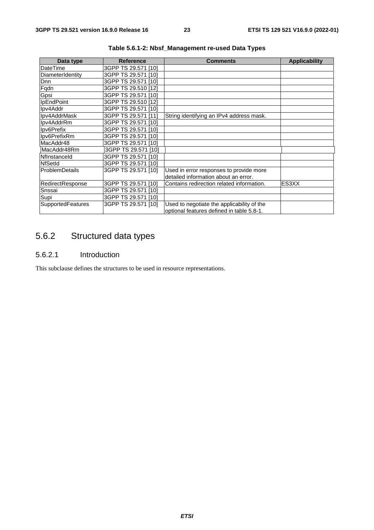| Data type         | <b>Reference</b>    | <b>Comments</b>                            | <b>Applicability</b> |
|-------------------|---------------------|--------------------------------------------|----------------------|
| DateTime          | 3GPP TS 29.571 [10] |                                            |                      |
| DiameterIdentity  | 3GPP TS 29.571 [10] |                                            |                      |
| Dnn               | 3GPP TS 29.571 [10] |                                            |                      |
| Fqdn              | 3GPP TS 29.510 [12] |                                            |                      |
| Gpsi              | 3GPP TS 29.571 [10] |                                            |                      |
| IpEndPoint        | 3GPP TS 29.510 [12] |                                            |                      |
| Ipv4Addr          | 3GPP TS 29.571 [10] |                                            |                      |
| Ipv4AddrMask      | 3GPP TS 29.571 [11] | String identifying an IPv4 address mask.   |                      |
| Ipv4AddrRm        | 3GPP TS 29.571 [10] |                                            |                      |
| Ipv6Prefix        | 3GPP TS 29.571 [10] |                                            |                      |
| Ipv6PrefixRm      | 3GPP TS 29.571 [10] |                                            |                      |
| MacAddr48         | 3GPP TS 29.571 [10] |                                            |                      |
| MacAddr48Rm       | 3GPP TS 29.571 [10] |                                            |                      |
| Nflnstanceld      | 3GPP TS 29.571 [10] |                                            |                      |
| <b>NfSetId</b>    | 3GPP TS 29.571 [10] |                                            |                      |
| ProblemDetails    | 3GPP TS 29.571 [10] | Used in error responses to provide more    |                      |
|                   |                     | detailed information about an error.       |                      |
| RedirectResponse  | 3GPP TS 29.571 [10] | Contains redirection related information.  | ES3XX                |
| Snssai            | 3GPP TS 29.571 [10] |                                            |                      |
| Supi              | 3GPP TS 29.571 [10] |                                            |                      |
| SupportedFeatures | 3GPP TS 29.571 [10] | Used to negotiate the applicability of the |                      |
|                   |                     | optional features defined in table 5.8-1.  |                      |

**Table 5.6.1-2: Nbsf\_Management re-used Data Types** 

# 5.6.2 Structured data types

### 5.6.2.1 Introduction

This subclause defines the structures to be used in resource representations.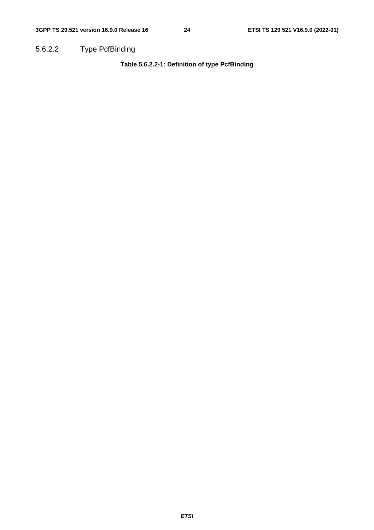5.6.2.2 Type PcfBinding

**Table 5.6.2.2-1: Definition of type PcfBinding**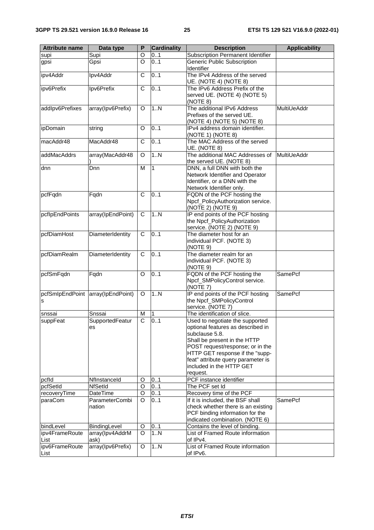| <b>Attribute name</b> | Data type         | P              | <b>Cardinality</b> | <b>Description</b>                                                    | <b>Applicability</b> |
|-----------------------|-------------------|----------------|--------------------|-----------------------------------------------------------------------|----------------------|
| supi                  | Supi              | O              | 01                 | Subscription Permanent Identifier                                     |                      |
| gpsi                  | Gpsi              | $\Omega$       | 0.1                | Generic Public Subscription                                           |                      |
|                       |                   |                |                    | Identifier                                                            |                      |
| ipv4Addr              | Ipv4Addr          | C              | 0.1                | The IPv4 Address of the served                                        |                      |
|                       |                   |                |                    | UE. (NOTE 4) (NOTE 8)                                                 |                      |
| ipv6Prefix            | Ipv6Prefix        | C              | 0.1                | The IPv6 Address Prefix of the                                        |                      |
|                       |                   |                |                    | served UE. (NOTE 4) (NOTE 5)                                          |                      |
|                       |                   |                |                    | (NOTE 8)                                                              |                      |
| addlpv6Prefixes       | array(Ipv6Prefix) | O              | 1N                 | The additional IPv6 Address                                           | MultiUeAddr          |
|                       |                   |                |                    | Prefixes of the served UE.                                            |                      |
| ipDomain              | string            | O              | 0.1                | (NOTE 4) (NOTE 5) (NOTE 8)<br>IPv4 address domain identifier.         |                      |
|                       |                   |                |                    | (NOTE 1) (NOTE 8)                                                     |                      |
| macAddr48             | MacAddr48         | C              | 0.1                | The MAC Address of the served                                         |                      |
|                       |                   |                |                    | UE. (NOTE 8)                                                          |                      |
| addMacAddrs           | array(MacAddr48   | O              | 1.N                | The additional MAC Addresses of                                       | MultiUeAddr          |
|                       |                   |                |                    | the served UE. (NOTE 8)                                               |                      |
| dnn                   | Dnn               | М              | $\mathbf{1}$       | DNN, a full DNN with both the                                         |                      |
|                       |                   |                |                    | Network Identifier and Operator                                       |                      |
|                       |                   |                |                    | Identifier, or a DNN with the                                         |                      |
|                       |                   |                |                    | Network Identifier only.                                              |                      |
| pcfFqdn               | Fqdn              | C              | 0.1                | FQDN of the PCF hosting the                                           |                      |
|                       |                   |                |                    | Npcf_PolicyAuthorization service.                                     |                      |
|                       |                   |                |                    | (NOTE 2) (NOTE 9)                                                     |                      |
| pcflpEndPoints        | array(IpEndPoint) | C              | 1N                 | IP end points of the PCF hosting                                      |                      |
|                       |                   |                |                    | the Npcf_PolicyAuthorization                                          |                      |
|                       |                   |                |                    | service. (NOTE 2) (NOTE 9)                                            |                      |
| pcfDiamHost           | DiameterIdentity  | $\mathsf{C}$   | 0.1                | The diameter host for an                                              |                      |
|                       |                   |                |                    | individual PCF. (NOTE 3)                                              |                      |
| pcfDiamRealm          | DiameterIdentity  | C              | 0.1                | (NOTE 9)<br>The diameter realm for an                                 |                      |
|                       |                   |                |                    | individual PCF. (NOTE 3)                                              |                      |
|                       |                   |                |                    | (NOTE 9)                                                              |                      |
| pcfSmFqdn             | Fqdn              | O              | 0.1                | FQDN of the PCF hosting the                                           | <b>SamePcf</b>       |
|                       |                   |                |                    | Npcf_SMPolicyControl service.                                         |                      |
|                       |                   |                |                    | (NOTE 7)                                                              |                      |
| pcfSmlpEndPoint       | array(IpEndPoint) | O              | 1N                 | IP end points of the PCF hosting                                      | <b>SamePcf</b>       |
| s                     |                   |                |                    | the Npcf_SMPolicyControl                                              |                      |
|                       |                   |                |                    | service. (NOTE 7)                                                     |                      |
| snssai                | Snssai            | М              | $\mathbf{1}$       | The identification of slice.                                          |                      |
| suppFeat              | SupportedFeatur   | $\overline{C}$ | 0.1                | Used to negotiate the supported                                       |                      |
|                       | es                |                |                    | optional features as described in                                     |                      |
|                       |                   |                |                    | subclause 5.8.                                                        |                      |
|                       |                   |                |                    | Shall be present in the HTTP                                          |                      |
|                       |                   |                |                    | POST request/response; or in the                                      |                      |
|                       |                   |                |                    | HTTP GET response if the "supp-<br>feat" attribute query parameter is |                      |
|                       |                   |                |                    | included in the HTTP GET                                              |                      |
|                       |                   |                |                    | request.                                                              |                      |
| pcfld                 | Nflnstanceld      | O              | 01                 | PCF instance identifier                                               |                      |
| pcfSetId              | NfSetId           | O              | 0.1                | The PCF set Id                                                        |                      |
| recoveryTime          | DateTime          | O              | 01                 | Recovery time of the PCF                                              |                      |
| paraCom               | ParameterCombi    | $\Omega$       | 0.1                | If it is included, the BSF shall                                      | SamePcf              |
|                       | nation            |                |                    | check whether there is an existing                                    |                      |
|                       |                   |                |                    | PCF binding information for the                                       |                      |
|                       |                   |                |                    | indicated combination. (NOTE 6)                                       |                      |
| bindLevel             | BindingLevel      | O              | 01                 | Contains the level of binding.                                        |                      |
| ipv4FrameRoute        | array(Ipv4AddrM   | O              | 1N                 | List of Framed Route information                                      |                      |
| List                  | ask)              |                |                    | of IPv4.                                                              |                      |
| ipv6FrameRoute        | array(Ipv6Prefix) | O              | 1N                 | List of Framed Route information                                      |                      |
| List                  |                   |                |                    | of IPv6.                                                              |                      |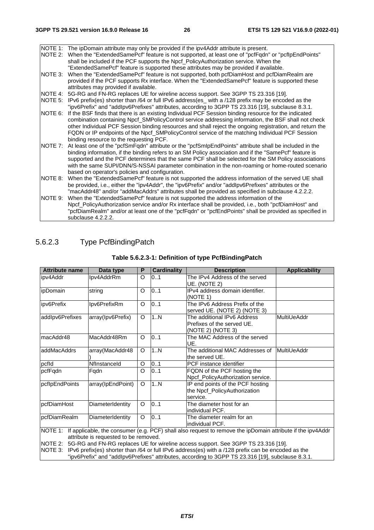NOTE 1: The ipDomain attribute may only be provided if the ipv4Addr attribute is present.<br>NOTE 2: When the "ExtendedSamePcf" feature is not supported, at least one of "pcfFqdn" When the "ExtendedSamePcf" feature is not supported, at least one of "pcfFqdn" or "pcfIpEndPoints" shall be included if the PCF supports the Npcf\_PolicyAuthorization service. When the "ExtendedSamePcf" feature is supported these attributes may be provided if available. NOTE 3: When the "ExtendedSamePcf" feature is not supported, both pcfDiamHost and pcfDiamRealm are provided if the PCF supports Rx interface. When the "ExtendedSamePcf" feature is supported these attributes may provided if available. NOTE 4: 5G-RG and FN-RG replaces UE for wireline access support. See 3GPP TS 23.316 [19]. NOTE 5: IPv6 prefix(es) shorter than /64 or full IPv6 address(es\_ with a /128 prefix may be encoded as the "ipv6Prefix" and "addIpv6Prefixes" attributes, according to 3GPP TS 23.316 [19], subclause 8.3.1. NOTE 6: If the BSF finds that there is an existing Individual PCF Session binding resource for the indicated combination containing Npcf\_SMPolicyControl service addressing information, the BSF shall not check other Individual PCF Session binding resources and shall reject the ongoing registration, and return the FQDN or IP endpoints of the Npcf\_SMPolicyControl service of the matching Individual PCF Session binding resource to the requesting PCF. NOTE 7: At least one of the "pcfSmFqdn" attribute or the "pcfSmIpEndPoints" attribute shall be included in the binding information, if the binding refers to an SM Policy association and if the "SamePcf" feature is supported and the PCF determines that the same PCF shall be selected for the SM Policy associations with the same SUPI/DNN/S-NSSAI parameter combination in the non-roaming or home-routed scenario based on operator's policies and configuration. NOTE 8: When the "ExtendedSamePcf" feature is not supported the address information of the served UE shall be provided, i.e., either the "ipv4Addr", the "ipv6Prefix" and/or "addIpv6Prefixes" attributes or the "macAddr48" and/or "addMacAddrs" attributes shall be provided as specified in subclause 4.2.2.2. NOTE 9: When the "ExtendedSamePcf" feature is not supported the address information of the Npcf\_PolicyAuthorization service and/or Rx interface shall be provided, i.e., both "pcfDiamHost" and "pcfDiamRealm" and/or at least one of the "pcfFqdn" or "pcfEndPoints" shall be provided as specified in subclause 4.2.2.2.

### 5.6.2.3 Type PcfBindingPatch

| <b>Attribute name</b> | Data type         | P | <b>Cardinality</b> | <b>Description</b>                                                                                                  | <b>Applicability</b> |
|-----------------------|-------------------|---|--------------------|---------------------------------------------------------------------------------------------------------------------|----------------------|
| ipv4Addr              | Ipv4AddrRm        | O | 01                 | The IPv4 Address of the served                                                                                      |                      |
|                       |                   |   |                    | UE. (NOTE 2)                                                                                                        |                      |
| ipDomain              | string            | O | 0.1                | IPv4 address domain identifier.                                                                                     |                      |
|                       |                   |   |                    | (NOTE 1)                                                                                                            |                      |
| ipv6Prefix            | Ipv6PrefixRm      | O | 01                 | The IPv6 Address Prefix of the                                                                                      |                      |
|                       |                   |   |                    | served UE. (NOTE 2) (NOTE 3)                                                                                        |                      |
| addlpv6Prefixes       | array(Ipv6Prefix) | O | 1N                 | The additional IPv6 Address                                                                                         | MultiUeAddr          |
|                       |                   |   |                    | Prefixes of the served UE.                                                                                          |                      |
|                       |                   |   |                    | (NOTE 2) (NOTE 3)                                                                                                   |                      |
| ImacAddr48            | MacAddr48Rm       | O | 0.1                | The MAC Address of the served                                                                                       |                      |
|                       |                   |   |                    | UE.                                                                                                                 |                      |
| addMacAddrs           | array(MacAddr48   | O | 1N                 | The additional MAC Addresses of                                                                                     | MultiUeAddr          |
|                       |                   |   |                    | the served UE.                                                                                                      |                      |
| pcfld                 | Nflnstanceld      | O | 0.1                | PCF instance identifier                                                                                             |                      |
| pcfFqdn               | Fqdn              | O | 0.1                | FQDN of the PCF hosting the                                                                                         |                      |
|                       |                   |   |                    | Npcf_PolicyAuthorization service.                                                                                   |                      |
| pcflpEndPoints        | array(IpEndPoint) | O | 1N                 | IP end points of the PCF hosting                                                                                    |                      |
|                       |                   |   |                    | the Npcf_PolicyAuthorization                                                                                        |                      |
|                       |                   |   |                    | service.                                                                                                            |                      |
| pcfDiamHost           | DiameterIdentity  | O | 0.1                | The diameter host for an                                                                                            |                      |
|                       |                   |   |                    | individual PCF.                                                                                                     |                      |
| pcfDiamRealm          | DiameterIdentity  | O | 0.1                | The diameter realm for an                                                                                           |                      |
|                       |                   |   |                    | individual PCF.                                                                                                     |                      |
|                       |                   |   |                    | INOTE 1: If applicable, the consumer (e.g. PCF) shall also request to remove the ipDomain attribute if the ipv4Addr |                      |

#### **Table 5.6.2.3-1: Definition of type PcfBindingPatch**

NOTE 1: If applicable, the consumer (e.g. PCF) shall also request to remove the ipDomain attribute if the ipv4Addr attribute is requested to be removed.

NOTE 2: 5G-RG and FN-RG replaces UE for wireline access support. See 3GPP TS 23.316 [19].

NOTE 3: IPv6 prefix(es) shorter than /64 or full IPv6 address(es) with a /128 prefix can be encoded as the

"ipv6Prefix" and "addIpv6Prefixes" attributes, according to 3GPP TS 23.316 [19], subclause 8.3.1.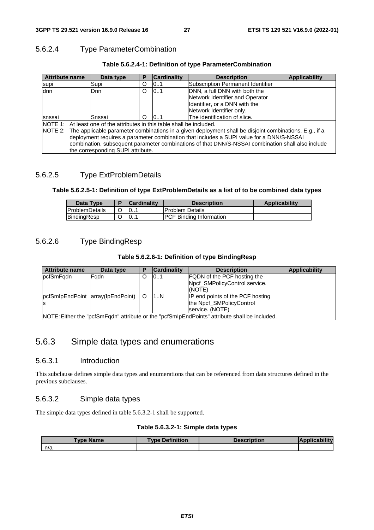### 5.6.2.4 Type ParameterCombination

| <b>Attribute name</b> | Data type                                                                                         | P       | <b>Cardinality</b> | <b>Description</b>                                                                                             | <b>Applicability</b> |  |
|-----------------------|---------------------------------------------------------------------------------------------------|---------|--------------------|----------------------------------------------------------------------------------------------------------------|----------------------|--|
| supi                  | Supi                                                                                              | O       | 10.1               | Subscription Permanent Identifier                                                                              |                      |  |
| dnn                   | Dnn                                                                                               | $\circ$ | 101                | DNN, a full DNN with both the                                                                                  |                      |  |
|                       |                                                                                                   |         |                    | Network Identifier and Operator                                                                                |                      |  |
|                       |                                                                                                   |         |                    | Identifier, or a DNN with the                                                                                  |                      |  |
|                       |                                                                                                   |         |                    | Network Identifier only.                                                                                       |                      |  |
| snssai                | Snssai                                                                                            | ∩       | 10.1               | The identification of slice.                                                                                   |                      |  |
|                       | NOTE 1: At least one of the attributes in this table shall be included.                           |         |                    |                                                                                                                |                      |  |
|                       |                                                                                                   |         |                    | NOTE 2: The applicable parameter combinations in a given deployment shall be disjoint combinations. E.g., if a |                      |  |
|                       | deployment requires a parameter combination that includes a SUPI value for a DNN/S-NSSAI          |         |                    |                                                                                                                |                      |  |
|                       | combination, subsequent parameter combinations of that DNN/S-NSSAI combination shall also include |         |                    |                                                                                                                |                      |  |
|                       | the corresponding SUPI attribute.                                                                 |         |                    |                                                                                                                |                      |  |

### **Table 5.6.2.4-1: Definition of type ParameterCombination**

### 5.6.2.5 Type ExtProblemDetails

### **Table 5.6.2.5-1: Definition of type ExtProblemDetails as a list of to be combined data types**

| Data Type              | <b>Cardinality</b> | <b>Description</b>              | <b>Applicability</b> |
|------------------------|--------------------|---------------------------------|----------------------|
| <b>IProblemDetails</b> | .                  | <b>Problem Details</b>          |                      |
| BindingResp            | 10                 | <b>IPCF Binding Information</b> |                      |

### 5.6.2.6 Type BindingResp

### **Table 5.6.2.6-1: Definition of type BindingResp**

| <b>Attribute name</b> | Data type                                                                                     | Ð | <b>Cardinality</b> | <b>Description</b>                 | <b>Applicability</b> |  |
|-----------------------|-----------------------------------------------------------------------------------------------|---|--------------------|------------------------------------|----------------------|--|
| pcfSmFqdn             | Fadn                                                                                          | O | 101                | <b>FQDN</b> of the PCF hosting the |                      |  |
|                       |                                                                                               |   |                    | Npcf_SMPolicyControl service.      |                      |  |
|                       |                                                                                               |   |                    | (NOTE)                             |                      |  |
|                       | pcfSmlpEndPoint  array(lpEndPoint)   O                                                        |   | 1N                 | IP end points of the PCF hosting   |                      |  |
|                       |                                                                                               |   |                    | the Npcf_SMPolicyControl           |                      |  |
|                       |                                                                                               |   |                    | service. (NOTE)                    |                      |  |
|                       | NOTE: Either the "pcfSmFqdn" attribute or the "pcfSmIpEndPoints" attribute shall be included. |   |                    |                                    |                      |  |

# 5.6.3 Simple data types and enumerations

### 5.6.3.1 Introduction

This subclause defines simple data types and enumerations that can be referenced from data structures defined in the previous subclauses.

### 5.6.3.2 Simple data types

The simple data types defined in table 5.6.3.2-1 shall be supported.

### **Table 5.6.3.2-1: Simple data types**

| <b>Type Name</b> | <b>Type Definition</b> | <b>Description</b> |  |
|------------------|------------------------|--------------------|--|
| n/a              |                        |                    |  |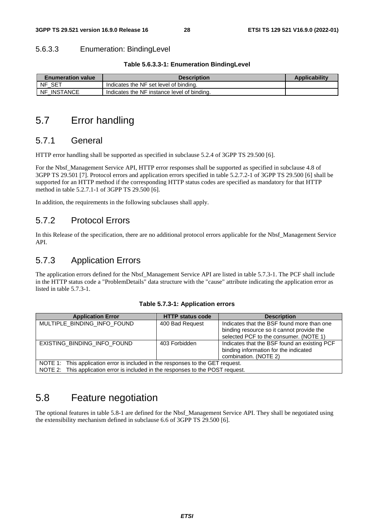### 5.6.3.3 Enumeration: BindingLevel

| <b>Enumeration value</b>     | <b>Description</b>                          | <b>Applicability</b> |
|------------------------------|---------------------------------------------|----------------------|
| SE™<br><b>NF</b>             | Indicates the NF set level of binding.      |                      |
| <b>INSTANCE</b><br><b>NF</b> | Indicates the NF instance level of binding. |                      |

# 5.7 Error handling

# 5.7.1 General

HTTP error handling shall be supported as specified in subclause 5.2.4 of 3GPP TS 29.500 [6].

For the Nbsf\_Management Service API, HTTP error responses shall be supported as specified in subclause 4.8 of 3GPP TS 29.501 [7]. Protocol errors and application errors specified in table 5.2.7.2-1 of 3GPP TS 29.500 [6] shall be supported for an HTTP method if the corresponding HTTP status codes are specified as mandatory for that HTTP method in table 5.2.7.1-1 of 3GPP TS 29.500 [6].

In addition, the requirements in the following subclauses shall apply.

# 5.7.2 Protocol Errors

In this Release of the specification, there are no additional protocol errors applicable for the Nbsf\_Management Service API.

# 5.7.3 Application Errors

The application errors defined for the Nbsf\_Management Service API are listed in table 5.7.3-1. The PCF shall include in the HTTP status code a "ProblemDetails" data structure with the "cause" attribute indicating the application error as listed in table 5.7.3-1.

| <b>Application Error</b>                                                         | <b>HTTP status code</b> | <b>Description</b>                           |  |  |  |
|----------------------------------------------------------------------------------|-------------------------|----------------------------------------------|--|--|--|
| MULTIPLE_BINDING_INFO_FOUND                                                      | 400 Bad Request         | Indicates that the BSF found more than one   |  |  |  |
|                                                                                  |                         | binding resource so it cannot provide the    |  |  |  |
|                                                                                  |                         | selected PCF to the consumer. (NOTE 1)       |  |  |  |
| EXISTING BINDING INFO FOUND                                                      | 403 Forbidden           | Indicates that the BSF found an existing PCF |  |  |  |
|                                                                                  |                         | binding information for the indicated        |  |  |  |
|                                                                                  |                         | combination. (NOTE 2)                        |  |  |  |
| NOTE 1: This application error is included in the responses to the GET request.  |                         |                                              |  |  |  |
| NOTE 2: This application error is included in the responses to the POST request. |                         |                                              |  |  |  |

# 5.8 Feature negotiation

The optional features in table 5.8-1 are defined for the Nbsf\_Management Service API. They shall be negotiated using the extensibility mechanism defined in subclause 6.6 of 3GPP TS 29.500 [6].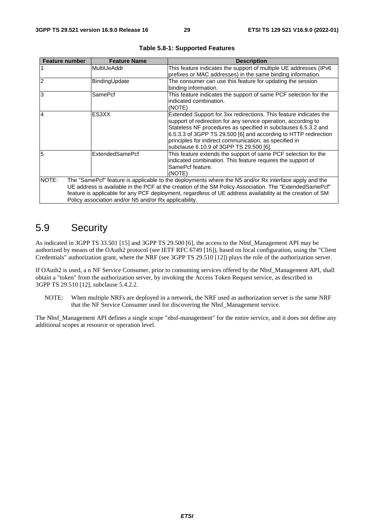| <b>Feature number</b>                                                                                                                                                                                                                                                                                                                                                                          | <b>Feature Name</b>    | <b>Description</b>                                                                                                                                                                                                                                                                                                                                                            |  |  |
|------------------------------------------------------------------------------------------------------------------------------------------------------------------------------------------------------------------------------------------------------------------------------------------------------------------------------------------------------------------------------------------------|------------------------|-------------------------------------------------------------------------------------------------------------------------------------------------------------------------------------------------------------------------------------------------------------------------------------------------------------------------------------------------------------------------------|--|--|
|                                                                                                                                                                                                                                                                                                                                                                                                | MultiUeAddr            | This feature indicates the support of multiple UE addresses (IPv6<br>prefixes or MAC addresses) in the same binding information.                                                                                                                                                                                                                                              |  |  |
| $\overline{2}$                                                                                                                                                                                                                                                                                                                                                                                 | BindingUpdate          | The consumer can use this feature for updating the session<br>binding information.                                                                                                                                                                                                                                                                                            |  |  |
| 3                                                                                                                                                                                                                                                                                                                                                                                              | SamePcf                | This feature indicates the support of same PCF selection for the<br>indicated combination.<br>(NOTE)                                                                                                                                                                                                                                                                          |  |  |
| $\overline{4}$                                                                                                                                                                                                                                                                                                                                                                                 | ES3XX                  | Extended Support for 3xx redirections. This feature indicates the<br>support of redirection for any service operation, according to<br>Stateless NF procedures as specified in subclauses 6.5.3.2 and<br>6.5.3.3 of 3GPP TS 29.500 [6] and according to HTTP redirection<br>principles for indirect communication, as specified in<br>subclause 6.10.9 of 3GPP TS 29.500 [6]. |  |  |
| 5                                                                                                                                                                                                                                                                                                                                                                                              | <b>ExtendedSamePcf</b> | This feature extends the support of same PCF selection for the<br>indicated combination. This feature requires the support of<br>SamePcf feature.<br>(NOTE)                                                                                                                                                                                                                   |  |  |
| NOTE:<br>The "SamePcf" feature is applicable to the deployments where the N5 and/or Rx interface apply and the<br>UE address is available in the PCF at the creation of the SM Policy Association. The "ExtendedSamePcf"<br>feature is applicable for any PCF deployment, regardless of UE address availability at the creation of SM<br>Policy association and/or N5 and/or Rx applicability. |                        |                                                                                                                                                                                                                                                                                                                                                                               |  |  |

|  |  | Table 5.8-1: Supported Features |  |
|--|--|---------------------------------|--|
|--|--|---------------------------------|--|

# 5.9 Security

As indicated in 3GPP TS 33.501 [15] and 3GPP TS 29.500 [6], the access to the Nbsf\_Management API may be authorized by means of the OAuth2 protocol (see IETF RFC 6749 [16]), based on local configuration, using the "Client Credentials" authorization grant, where the NRF (see 3GPP TS 29.510 [12]) plays the role of the authorization server.

If OAuth2 is used, a n NF Service Consumer, prior to consuming services offered by the Nbsf\_Management API, shall obtain a "token" from the authorization server, by invoking the Access Token Request service, as described in 3GPP TS 29.510 [12], subclause 5.4.2.2.

NOTE: When multiple NRFs are deployed in a network, the NRF used as authorization server is the same NRF that the NF Service Consumer used for discovering the Nbsf\_Management service.

The Nbsf\_Management API defines a single scope "nbsf-management" for the entire service, and it does not define any additional scopes at resource or operation level.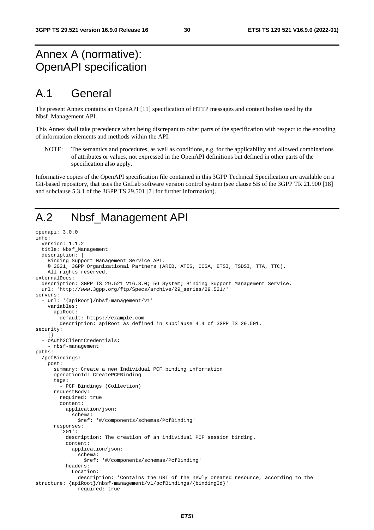# Annex A (normative): OpenAPI specification

# A.1 General

The present Annex contains an OpenAPI [11] specification of HTTP messages and content bodies used by the Nbsf\_Management API.

This Annex shall take precedence when being discrepant to other parts of the specification with respect to the encoding of information elements and methods within the API.

NOTE: The semantics and procedures, as well as conditions, e.g. for the applicability and allowed combinations of attributes or values, not expressed in the OpenAPI definitions but defined in other parts of the specification also apply.

Informative copies of the OpenAPI specification file contained in this 3GPP Technical Specification are available on a Git-based repository, that uses the GitLab software version control system (see clause 5B of the 3GPP TR 21.900 [18] and subclause 5.3.1 of the 3GPP TS 29.501 [7] for further information).

# A.2 Nbsf\_Management API

```
openapi: 3.0.0 
info: 
   version: 1.1.2 
   title: Nbsf_Management 
   description: | 
     Binding Support Management Service API. 
     © 2021, 3GPP Organizational Partners (ARIB, ATIS, CCSA, ETSI, TSDSI, TTA, TTC). 
     All rights reserved. 
externalDocs: 
   description: 3GPP TS 29.521 V16.8.0; 5G System; Binding Support Management Service. 
   url: 'http://www.3gpp.org/ftp/Specs/archive/29_series/29.521/' 
servers: 
   - url: '{apiRoot}/nbsf-management/v1' 
     variables: 
       apiRoot: 
         default: https://example.com 
         description: apiRoot as defined in subclause 4.4 of 3GPP TS 29.501. 
security: 
   - {} 
   - oAuth2ClientCredentials: 
     - nbsf-management 
paths: 
   /pcfBindings: 
     post: 
       summary: Create a new Individual PCF binding information 
       operationId: CreatePCFBinding 
       tags: 
         - PCF Bindings (Collection) 
       requestBody: 
         required: true 
         content: 
           application/json: 
              schema: 
                $ref: '#/components/schemas/PcfBinding' 
       responses: 
          '201': 
           description: The creation of an individual PCF session binding. 
            content: 
              application/json: 
                schema: 
                  $ref: '#/components/schemas/PcfBinding' 
           headers: 
              Location: 
                description: 'Contains the URI of the newly created resource, according to the 
structure: {apiRoot}/nbsf-management/v1/pcfBindings/{bindingId}' 
                required: true
```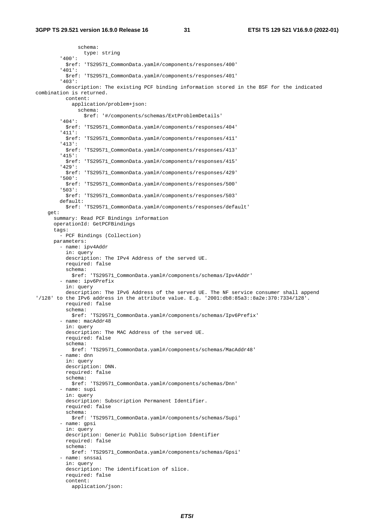schema: type: string '400': \$ref: 'TS29571\_CommonData.yaml#/components/responses/400' '401': \$ref: 'TS29571\_CommonData.yaml#/components/responses/401' '403': description: The existing PCF binding information stored in the BSF for the indicated combination is returned. content: application/problem+json: schema: \$ref: '#/components/schemas/ExtProblemDetails' '404': \$ref: 'TS29571\_CommonData.yaml#/components/responses/404' '411': \$ref: 'TS29571\_CommonData.yaml#/components/responses/411' '413': \$ref: 'TS29571\_CommonData.yaml#/components/responses/413' '415': \$ref: 'TS29571\_CommonData.yaml#/components/responses/415' '429': \$ref: 'TS29571\_CommonData.yaml#/components/responses/429' '500': \$ref: 'TS29571\_CommonData.yaml#/components/responses/500' '503': \$ref: 'TS29571\_CommonData.yaml#/components/responses/503' default: \$ref: 'TS29571\_CommonData.yaml#/components/responses/default' get: summary: Read PCF Bindings information operationId: GetPCFBindings tags: - PCF Bindings (Collection) parameters: - name: ipv4Addr in: query description: The IPv4 Address of the served UE. required: false schema: \$ref: 'TS29571\_CommonData.yaml#/components/schemas/Ipv4Addr' - name: ipv6Prefix in: query description: The IPv6 Address of the served UE. The NF service consumer shall append '/128' to the IPv6 address in the attribute value. E.g. '2001:db8:85a3::8a2e:370:7334/128'. required: false schema: \$ref: 'TS29571\_CommonData.yaml#/components/schemas/Ipv6Prefix' - name: macAddr48 in: query description: The MAC Address of the served UE. required: false schema: \$ref: 'TS29571\_CommonData.yaml#/components/schemas/MacAddr48' - name: dnn in: query description: DNN. required: false schema: \$ref: 'TS29571\_CommonData.yaml#/components/schemas/Dnn' - name: supi in: query description: Subscription Permanent Identifier. required: false schema: \$ref: 'TS29571\_CommonData.yaml#/components/schemas/Supi' - name: gpsi in: query description: Generic Public Subscription Identifier required: false schema: \$ref: 'TS29571\_CommonData.yaml#/components/schemas/Gpsi' - name: snssai in: query description: The identification of slice. required: false content: application/json: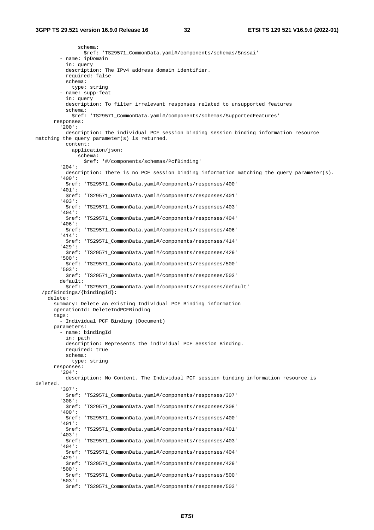schema: \$ref: 'TS29571\_CommonData.yaml#/components/schemas/Snssai' - name: ipDomain in: query description: The IPv4 address domain identifier. required: false schema: type: string - name: supp-feat in: query description: To filter irrelevant responses related to unsupported features schema: \$ref: 'TS29571\_CommonData.yaml#/components/schemas/SupportedFeatures' responses: '200': description: The individual PCF session binding session binding information resource matching the query parameter(s) is returned. content: application/json: schema: \$ref: '#/components/schemas/PcfBinding' '204': description: There is no PCF session binding information matching the query parameter(s). '400': \$ref: 'TS29571\_CommonData.yaml#/components/responses/400' '401': \$ref: 'TS29571\_CommonData.yaml#/components/responses/401' '403': \$ref: 'TS29571\_CommonData.yaml#/components/responses/403' '404': \$ref: 'TS29571\_CommonData.yaml#/components/responses/404' '406': \$ref: 'TS29571\_CommonData.yaml#/components/responses/406' '414': \$ref: 'TS29571\_CommonData.yaml#/components/responses/414' '429': \$ref: 'TS29571\_CommonData.yaml#/components/responses/429' '500': \$ref: 'TS29571\_CommonData.yaml#/components/responses/500' '503': \$ref: 'TS29571\_CommonData.yaml#/components/responses/503' default: \$ref: 'TS29571\_CommonData.yaml#/components/responses/default' /pcfBindings/{bindingId}: delete: summary: Delete an existing Individual PCF Binding information operationId: DeleteIndPCFBinding tags: - Individual PCF Binding (Document) parameters: - name: bindingId in: path description: Represents the individual PCF Session Binding. required: true schema: type: string responses: '204': description: No Content. The Individual PCF session binding information resource is deleted. '307': \$ref: 'TS29571\_CommonData.yaml#/components/responses/307' '308': \$ref: 'TS29571\_CommonData.yaml#/components/responses/308' '400': \$ref: 'TS29571\_CommonData.yaml#/components/responses/400' '401': \$ref: 'TS29571\_CommonData.yaml#/components/responses/401' '403': \$ref: 'TS29571\_CommonData.yaml#/components/responses/403' '404': \$ref: 'TS29571\_CommonData.yaml#/components/responses/404' '429': \$ref: 'TS29571\_CommonData.yaml#/components/responses/429' '500': \$ref: 'TS29571\_CommonData.yaml#/components/responses/500' '503': \$ref: 'TS29571\_CommonData.yaml#/components/responses/503'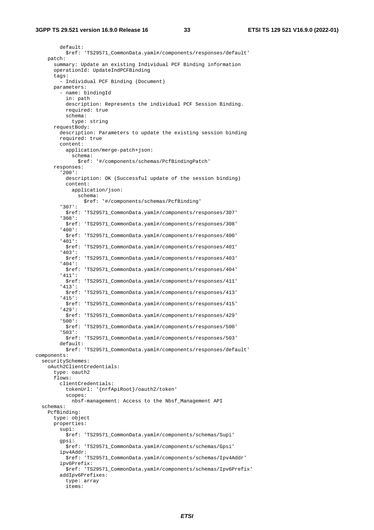default: \$ref: 'TS29571\_CommonData.yaml#/components/responses/default' patch: summary: Update an existing Individual PCF Binding information operationId: UpdateIndPCFBinding tags: - Individual PCF Binding (Document) parameters: - name: bindingId in: path description: Represents the individual PCF Session Binding. required: true schema: type: string requestBody: description: Parameters to update the existing session binding required: true content: application/merge-patch+json: schema: \$ref: '#/components/schemas/PcfBindingPatch' responses: '200': description: OK (Successful update of the session binding) content: application/json: schema: \$ref: '#/components/schemas/PcfBinding' '307': \$ref: 'TS29571\_CommonData.yaml#/components/responses/307' '308': \$ref: 'TS29571\_CommonData.yaml#/components/responses/308' '400': \$ref: 'TS29571\_CommonData.yaml#/components/responses/400' '401': \$ref: 'TS29571\_CommonData.yaml#/components/responses/401' '403': \$ref: 'TS29571\_CommonData.yaml#/components/responses/403' '404': \$ref: 'TS29571\_CommonData.yaml#/components/responses/404' '411': \$ref: 'TS29571\_CommonData.yaml#/components/responses/411' '413': \$ref: 'TS29571\_CommonData.yaml#/components/responses/413' '415': \$ref: 'TS29571\_CommonData.yaml#/components/responses/415' '429': \$ref: 'TS29571\_CommonData.yaml#/components/responses/429' '500': \$ref: 'TS29571\_CommonData.yaml#/components/responses/500' '503': \$ref: 'TS29571\_CommonData.yaml#/components/responses/503' default: \$ref: 'TS29571\_CommonData.yaml#/components/responses/default' components: securitySchemes: oAuth2ClientCredentials: type: oauth2 flows: clientCredentials: tokenUrl: '{nrfApiRoot}/oauth2/token' scopes: nbsf-management: Access to the Nbsf\_Management API schemas: PcfBinding: type: object properties: supi: \$ref: 'TS29571\_CommonData.yaml#/components/schemas/Supi' gpsi: \$ref: 'TS29571\_CommonData.yaml#/components/schemas/Gpsi' ipv4Addr: \$ref: 'TS29571\_CommonData.yaml#/components/schemas/Ipv4Addr' ipv6Prefix: \$ref: 'TS29571\_CommonData.yaml#/components/schemas/Ipv6Prefix' addIpv6Prefixes: type: array items: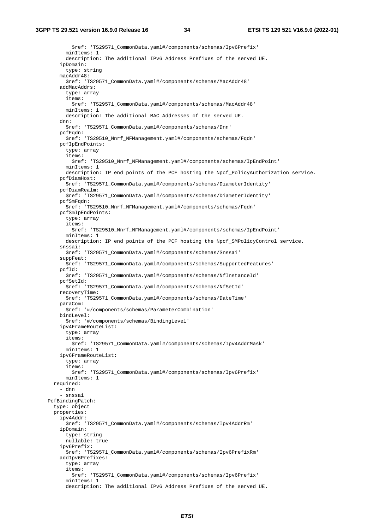\$ref: 'TS29571\_CommonData.yaml#/components/schemas/Ipv6Prefix' minItems: 1 description: The additional IPv6 Address Prefixes of the served UE. ipDomain: type: string macAddr48: \$ref: 'TS29571\_CommonData.yaml#/components/schemas/MacAddr48' addMacAddrs: type: array items: \$ref: 'TS29571\_CommonData.yaml#/components/schemas/MacAddr48' minItems: 1 description: The additional MAC Addresses of the served UE. dnn: \$ref: 'TS29571\_CommonData.yaml#/components/schemas/Dnn' pcfFqdn: \$ref: 'TS29510\_Nnrf\_NFManagement.yaml#/components/schemas/Fqdn' pcfIpEndPoints: type: array items: \$ref: 'TS29510\_Nnrf\_NFManagement.yaml#/components/schemas/IpEndPoint' minItems: 1 description: IP end points of the PCF hosting the Npcf\_PolicyAuthorization service. pcfDiamHost: \$ref: 'TS29571\_CommonData.yaml#/components/schemas/DiameterIdentity' pcfDiamRealm: \$ref: 'TS29571\_CommonData.yaml#/components/schemas/DiameterIdentity' pcfSmFqdn: \$ref: 'TS29510\_Nnrf\_NFManagement.yaml#/components/schemas/Fqdn' pcfSmIpEndPoints: type: array items: \$ref: 'TS29510\_Nnrf\_NFManagement.yaml#/components/schemas/IpEndPoint' minItems: 1 description: IP end points of the PCF hosting the Npcf\_SMPolicyControl service. snssai: \$ref: 'TS29571\_CommonData.yaml#/components/schemas/Snssai' suppFeat: \$ref: 'TS29571\_CommonData.yaml#/components/schemas/SupportedFeatures' pcfId: \$ref: 'TS29571\_CommonData.yaml#/components/schemas/NfInstanceId' pcfSetId: \$ref: 'TS29571\_CommonData.yaml#/components/schemas/NfSetId' recoveryTime: \$ref: 'TS29571\_CommonData.yaml#/components/schemas/DateTime' paraCom: \$ref: '#/components/schemas/ParameterCombination' bindLevel: \$ref: '#/components/schemas/BindingLevel' ipv4FrameRouteList: type: array items: \$ref: 'TS29571\_CommonData.yaml#/components/schemas/Ipv4AddrMask' minItems: 1 ipv6FrameRouteList: type: array items: \$ref: 'TS29571\_CommonData.yaml#/components/schemas/Ipv6Prefix' minItems: 1 required: - dnn - snssai PcfBindingPatch: type: object properties: ipv4Addr: \$ref: 'TS29571\_CommonData.yaml#/components/schemas/Ipv4AddrRm' ipDomain: type: string nullable: true ipv6Prefix: \$ref: 'TS29571\_CommonData.yaml#/components/schemas/Ipv6PrefixRm' addIpv6Prefixes: type: array items: \$ref: 'TS29571\_CommonData.yaml#/components/schemas/Ipv6Prefix' minItems: 1 description: The additional IPv6 Address Prefixes of the served UE.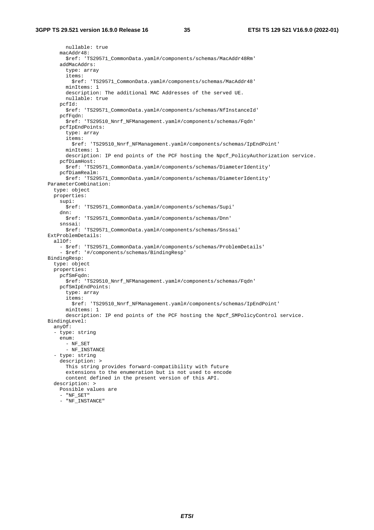nullable: true macAddr48: \$ref: 'TS29571\_CommonData.yaml#/components/schemas/MacAddr48Rm' addMacAddrs: type: array items: \$ref: 'TS29571\_CommonData.yaml#/components/schemas/MacAddr48' minItems: 1 description: The additional MAC Addresses of the served UE. nullable: true pcfId: \$ref: 'TS29571\_CommonData.yaml#/components/schemas/NfInstanceId' pcfFqdn: \$ref: 'TS29510\_Nnrf\_NFManagement.yaml#/components/schemas/Fqdn' pcfIpEndPoints: type: array items: \$ref: 'TS29510\_Nnrf\_NFManagement.yaml#/components/schemas/IpEndPoint' minItems: 1 description: IP end points of the PCF hosting the Npcf\_PolicyAuthorization service. pcfDiamHost: \$ref: 'TS29571\_CommonData.yaml#/components/schemas/DiameterIdentity' pcfDiamRealm: \$ref: 'TS29571\_CommonData.yaml#/components/schemas/DiameterIdentity' ParameterCombination: type: object properties: supi: \$ref: 'TS29571\_CommonData.yaml#/components/schemas/Supi' dnn: \$ref: 'TS29571\_CommonData.yaml#/components/schemas/Dnn' snssai: \$ref: 'TS29571\_CommonData.yaml#/components/schemas/Snssai' ExtProblemDetails: allOf: - \$ref: 'TS29571\_CommonData.yaml#/components/schemas/ProblemDetails' - \$ref: '#/components/schemas/BindingResp' BindingResp: type: object properties: pcfSmFqdn: \$ref: 'TS29510\_Nnrf\_NFManagement.yaml#/components/schemas/Fqdn' pcfSmIpEndPoints: type: array items: \$ref: 'TS29510\_Nnrf\_NFManagement.yaml#/components/schemas/IpEndPoint' minItems: 1 description: IP end points of the PCF hosting the Npcf\_SMPolicyControl service. BindingLevel: anyOf: - type: string enum: - NF\_SET - NF\_INSTANCE - type: string description: > This string provides forward-compatibility with future extensions to the enumeration but is not used to encode content defined in the present version of this API. description: > Possible values are - "NF\_SET" - "NF\_INSTANCE"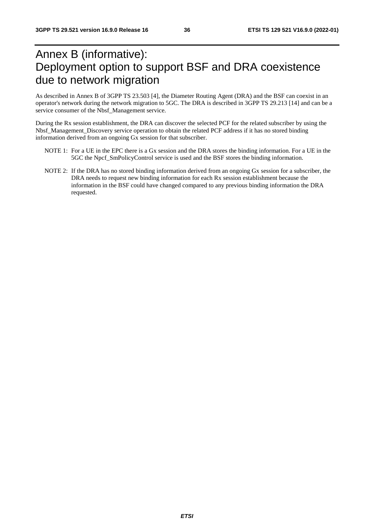# Annex B (informative): Deployment option to support BSF and DRA coexistence due to network migration

As described in Annex B of 3GPP TS 23.503 [4], the Diameter Routing Agent (DRA) and the BSF can coexist in an operator's network during the network migration to 5GC. The DRA is described in 3GPP TS 29.213 [14] and can be a service consumer of the Nbsf\_Management service.

During the Rx session establishment, the DRA can discover the selected PCF for the related subscriber by using the Nbsf\_Management\_Discovery service operation to obtain the related PCF address if it has no stored binding information derived from an ongoing Gx session for that subscriber.

- NOTE 1: For a UE in the EPC there is a Gx session and the DRA stores the binding information. For a UE in the 5GC the Npcf\_SmPolicyControl service is used and the BSF stores the binding information.
- NOTE 2: If the DRA has no stored binding information derived from an ongoing Gx session for a subscriber, the DRA needs to request new binding information for each Rx session establishment because the information in the BSF could have changed compared to any previous binding information the DRA requested.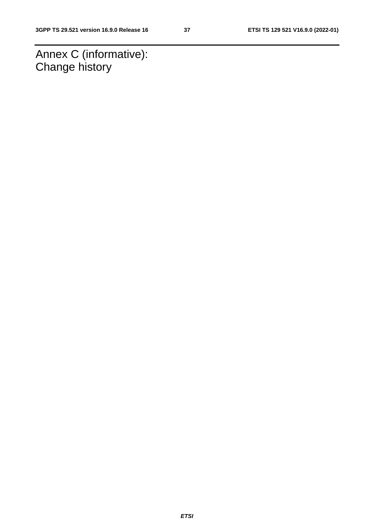Annex C (informative): Change history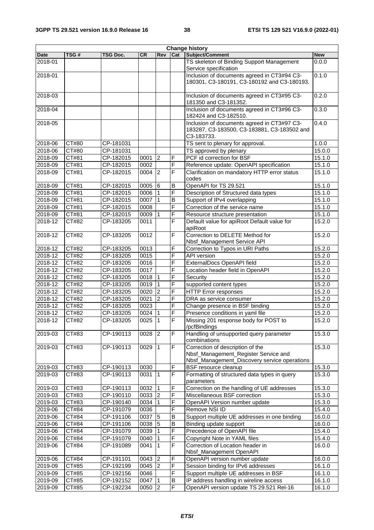| <b>Change history</b> |       |           |           |                |                         |                                                                                                          |            |
|-----------------------|-------|-----------|-----------|----------------|-------------------------|----------------------------------------------------------------------------------------------------------|------------|
| <b>Date</b>           | TSG#  | TSG Doc.  | <b>CR</b> | Rev            | Cat                     | Subject/Comment                                                                                          | <b>New</b> |
| 2018-01               |       |           |           |                |                         | TS skeleton of Binding Support Management<br>Service specification                                       | 0.0.0      |
| 2018-01               |       |           |           |                |                         | Inclusion of documents agreed in CT3#94 C3-<br>180301, C3-180191, C3-180192 and C3-180193.               | 0.1.0      |
| 2018-03               |       |           |           |                |                         | Inclusion of documents agreed in CT3#95 C3-<br>181350 and C3-181352.                                     | 0.2.0      |
| 2018-04               |       |           |           |                |                         | Inclusion of documents agreed in CT3#96 C3-<br>182424 and C3-182510.                                     | 0.3.0      |
| 2018-05               |       |           |           |                |                         | Inclusion of documents agreed in CT3#97 C3-<br>183287, C3-183500, C3-183881, C3-183502 and<br>C3-183733. | 0.4.0      |
| 2018-06               | CT#80 | CP-181031 |           |                |                         | TS sent to plenary for approval.                                                                         | 1.0.0      |
| 2018-06               | CT#80 | CP-181031 |           |                |                         | TS approved by plenary                                                                                   | 15.0.0     |
| 2018-09               | CT#81 | CP-182015 | 0001      | <b>2</b>       | F                       | PCF id correction for BSF                                                                                | 15.1.0     |
| 2018-09               | CT#81 | CP-182015 | 0002      |                | F                       | Reference update: OpenAPI specification                                                                  | 15.1.0     |
| 2018-09               | CT#81 | CP-182015 | 0004      | 2              | F                       | Clarification on mandatory HTTP error status<br>codes                                                    | 15.1.0     |
| 2018-09               | CT#81 | CP-182015 | 0005      | 6              | B                       | OpenAPI for TS 29.521                                                                                    | 15.1.0     |
| 2018-09               | CT#81 | CP-182015 | 0006      |                | F                       | Description of Structured data types                                                                     | 15.1.0     |
| 2018-09               | CT#81 | CP-182015 | 0007      |                | $\overline{B}$          | Support of IPv4 overlapping                                                                              | 15.1.0     |
| 2018-09               | CT#81 | CP-182015 | 0008      |                | $\overline{\mathsf{F}}$ | Correction of the service name                                                                           | 15.1.0     |
| 2018-09               | CT#81 | CP-182015 | 0009      |                | F                       | Resource structure presentation                                                                          | 15.1.0     |
| 2018-12               | CT#82 | CP-183205 | 0011      |                | $\overline{F}$          | Default value for apiRoot Default value for<br>apiRoot                                                   | 15.2.0     |
| 2018-12               | CT#82 | CP-183205 | 0012      |                | F                       | Correction to DELETE Method for<br>Nbsf_Management Service API                                           | 15.2.0     |
| 2018-12               | CT#82 | CP-183205 | 0013      |                | F                       | Correction to Typos in URI Paths                                                                         | 15.2.0     |
| 2018-12               | CT#82 | CP-183205 | 0015      |                | F                       | API version                                                                                              | 15.2.0     |
| 2018-12               | CT#82 | CP-183205 | 0016      |                | F                       | ExternalDocs OpenAPI field                                                                               | 15.2.0     |
| 2018-12               | CT#82 | CP-183205 | 0017      |                | F                       | Location header field in OpenAPI                                                                         | 15.2.0     |
| 2018-12               | CT#82 | CP-183205 | 0018      | ∣1             | F                       | Security                                                                                                 | 15.2.0     |
| $2018 - 12$           | CT#82 | CP-183205 | 0019      | $\overline{1}$ | F                       | supported content types                                                                                  | 15.2.0     |
| 2018-12               | CT#82 | CP-183205 | 0020      | <b>2</b>       | F                       | <b>HTTP Error responses</b>                                                                              | 15.2.0     |
| 2018-12               | CT#82 | CP-183205 | 0021      | $\overline{2}$ | $\overline{\mathsf{F}}$ | DRA as service consumer                                                                                  | 15.2.0     |
| 2018-12               | CT#82 | CP-183205 | 0023      |                | F                       | Change presence in BSF binding                                                                           | 15.2.0     |
| 2018-12               | CT#82 | CP-183205 | 0024      |                | F                       | Presence conditions in yaml file                                                                         | 15.2.0     |
| 2018-12               | CT#82 | CP-183205 | 0025      | $\vert$ 1      | $\overline{\mathsf{F}}$ | Missing 201 response body for POST to<br>/pcfBindings                                                    | 15.2.0     |
| 2019-03               | CT#83 | CP-190113 | 0028      | $\overline{2}$ | F                       | Handling of unsupported query parameter<br>combinations                                                  | 15.3.0     |
| 2019-03               | CT#83 | CP-190113 | 0029      | $\overline{1}$ | $\overline{F}$          | Correction of description of the<br>Nbsf_Management_Register Service and                                 | 15.3.0     |
|                       |       |           |           |                |                         | Nbsf_Management_Discovery service operations                                                             |            |
| 2019-03               | CT#83 | CP-190113 | 0030      |                | F                       | <b>BSF</b> resource cleanup                                                                              | 15.3.0     |
| 2019-03               | CT#83 | CP-190113 | 0031      | l 1            | F                       | Formatting of structured data types in query<br>parameters                                               | 15.3.0     |
| 2019-03               | CT#83 | CP-190113 | 0032      | $\vert$ 1      | F                       | Correction on the handling of UE addresses                                                               | 15.3.0     |
| 2019-03               | CT#83 | CP-190110 | 0033      | $\overline{2}$ | F                       | Miscellaneous BSF correction                                                                             | 15.3.0     |
| 2019-03               | CT#83 | CP-190140 | 0034      | $\vert$ 1      | F                       | OpenAPI Version number update                                                                            | 15.3.0     |
| 2019-06               | CT#84 | CP-191079 | 0036      |                | F                       | Remove NSI ID                                                                                            | 15.4.0     |
| 2019-06               | CT#84 | CP-191106 | 0037      | $\overline{5}$ | B                       | Support multiple UE addresses in one binding                                                             | 16.0.0     |
| 2019-06               | CT#84 | CP-191106 | 0038      | 5              | B                       | Binding update support                                                                                   | 16.0.0     |
| 2019-06               | CT#84 | CP-191079 | 0039      |                | F                       | Precedence of OpenAPI file                                                                               | 15.4.0     |
| 2019-06               | CT#84 | CP-191079 | 0040      |                | F                       | Copyright Note in YAML files                                                                             | 15.4.0     |
| 2019-06               | CT#84 | CP-191089 | 0041      | $\mathbf{1}$   | F                       | Correction of Location header in<br>Nbsf_Management OpenAPI                                              | 16.0.0     |
| 2019-06               | CT#84 | CP-191101 | 0043      | <b>2</b>       | F                       | OpenAPI version number update                                                                            | 16.0.0     |
| 2019-09               | CT#85 | CP-192199 | 0045      | $\overline{2}$ | $\overline{F}$          | Session binding for IPv6 addresses                                                                       | 16.1.0     |
| 2019-09               | CT#85 | CP-192156 | 0046      |                | F                       | Support multiple UE addresses in BSF                                                                     | 16.1.0     |
| 2019-09               | CT#85 | CP-192152 | 0047      |                | B                       | IP address handling in wireline access                                                                   | 16.1.0     |
| 2019-09               | CT#85 | CP-192234 | 0050      | 2              | F                       | OpenAPI version update TS 29.521 Rel-16                                                                  | 16.1.0     |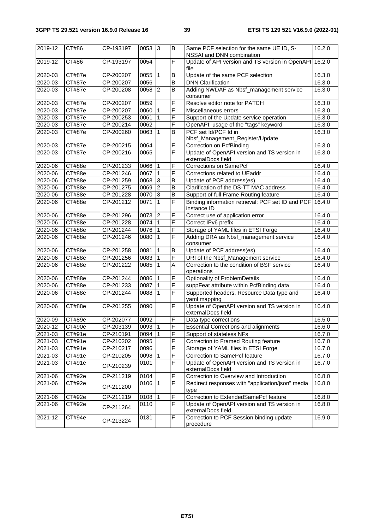| 2019-12        | CT#86  | CP-193197 | $0053$ 3   |                | B                       | Same PCF selection for the same UE ID, S-<br>NSSAI and DNN combination | 16.2.0 |
|----------------|--------|-----------|------------|----------------|-------------------------|------------------------------------------------------------------------|--------|
| 2019-12        | CT#86  | CP-193197 | 0054       |                | F                       | Update of API version and TS version in OpenAPI 16.2.0<br>file         |        |
| 2020-03        | CT#87e | CP-200207 | 0055       | 1              | B                       | Update of the same PCF selection                                       | 16.3.0 |
| 2020-03        | CT#87e | CP-200207 | 0056       |                | $\overline{\mathsf{B}}$ | <b>DNN</b> Clarification                                               | 16.3.0 |
| 2020-03        | CT#87e | CP-200208 | 0058       | $\overline{2}$ | B                       | Adding NWDAF as Nbsf_management service<br>consumer                    | 16.3.0 |
| 2020-03        | CT#87e | CP-200207 | 0059       |                | F                       | Resolve editor note for PATCH                                          | 16.3.0 |
| 2020-03        | CT#87e | CP-200207 | 0060       | $\overline{1}$ | F                       | Miscellaneous errors                                                   | 16.3.0 |
| 2020-03        | CT#87e | CP-200253 | 0061       | $\overline{1}$ | F                       | Support of the Update service operation                                | 16.3.0 |
| 2020-03        | CT#87e | CP-200214 | 0062       |                | F                       | OpenAPI: usage of the "tags" keyword                                   | 16.3.0 |
| 2020-03        | CT#87e | CP-200260 | 0063       | l 1            | B                       | PCF set Id/PCF Id in<br>Nbsf_Management_Register/Update                | 16.3.0 |
| 2020-03        | CT#87e | CP-200215 | 0064       |                | $\overline{\mathsf{F}}$ | Correction on PcfBinding                                               | 16.3.0 |
| 2020-03        | CT#87e | CP-200216 | 0065       |                | F                       | Update of OpenAPI version and TS version in<br>externalDocs field      | 16.3.0 |
| $2020 - 06$    | CT#88e | CP-201233 | 0066       | l 1            | F                       | <b>Corrections on SamePcf</b>                                          | 16.4.0 |
| 2020-06        | CT#88e | CP-201246 | 0067       |                | F                       | Corrections related to UEaddr                                          | 16.4.0 |
| 2020-06        | CT#88e | CP-201259 | 0068       | Ι3             | B                       | Update of PCF address(es)                                              | 16.4.0 |
| 2020-06        | CT#88e | CP-201275 | 0069       | $\overline{2}$ | B                       | Clarification of the DS-TT MAC address                                 | 16.4.0 |
| 2020-06        | CT#88e | CP-201228 | 0070       | 3              | $\overline{\mathsf{B}}$ | Support of full Frame Routing feature                                  | 16.4.0 |
| 2020-06        | CT#88e | CP-201212 | 0071       | $\overline{1}$ | F                       | Binding information retrieval: PCF set ID and PCF<br>instance ID       | 16.4.0 |
| 2020-06        | CT#88e | CP-201296 | 0073       | $\overline{2}$ | F                       | Correct use of application error                                       | 16.4.0 |
| 2020-06        | CT#88e | CP-201228 | 0074       |                | F                       | Correct IPv6 prefix                                                    | 16.4.0 |
| 2020-06        | CT#88e | CP-201244 | 0076       | l 1            | $\overline{F}$          | Storage of YAML files in ETSI Forge                                    | 16.4.0 |
| 2020-06        | CT#88e | CP-201246 | 0080       | 1              | F                       | Adding DRA as Nbsf_management service<br>consumer                      | 16.4.0 |
| 2020-06        | CT#88e | CP-201258 | 0081       | $\mathbf 1$    | $\overline{B}$          | Update of PCF address(es)                                              | 16.4.0 |
| 2020-06        | CT#88e | CP-201256 | 0083       | $\mathbf{1}$   | F                       | URI of the Nbsf_Management service                                     | 16.4.0 |
| 2020-06        | CT#88e | CP-201222 | 0085       | $\mathbf{1}$   | A                       | Correction to the condition of BSF service<br>operations               | 16.4.0 |
| 2020-06        | CT#88e | CP-201244 | 0086       | $\overline{1}$ | F                       | Optionality of ProblemDetails                                          | 16.4.0 |
| 2020-06        | CT#88e | CP-201233 | 0087       | ∣1             | F                       | suppFeat attribute within PcfBinding data                              | 16.4.0 |
| 2020-06        | CT#88e | CP-201244 | 0088       | $\overline{1}$ | $\overline{\mathsf{F}}$ | Supported headers, Resource Data type and<br>yaml mapping              | 16.4.0 |
| 2020-06        | CT#88e | CP-201255 | 0090       |                | F                       | Update of OpenAPI version and TS version in<br>externalDocs field      | 16.4.0 |
| 2020-09        | CT#89e | CP-202077 | 0092       |                | F                       | Data type corrections                                                  | 16.5.0 |
| 2020-12 CT#90e |        | CP-203139 | $0093$   1 |                | F                       | <b>Essential Corrections and alignments</b>                            | 16.6.0 |
| 2021-03        | CT#91e | CP-210191 | 0094       | $\vert$ 1      | F                       | Support of stateless NFs                                               | 16.7.0 |
| 2021-03        | CT#91e | CP-210202 | 0095       |                | F                       | Correction to Framed Routing feature                                   | 16.7.0 |
| 2021-03        | CT#91e | CP-210217 | 0096       |                | F                       | Storage of YAML files in ETSI Forge                                    | 16.7.0 |
| 2021-03        | CT#91e | CP-210205 | 0098       |                | F                       | Correction to SamePcf feature                                          | 16.7.0 |
| 2021-03        | CT#91e | CP-210239 | 0101       |                | F                       | Update of OpenAPI version and TS version in<br>externalDocs field      | 16.7.0 |
| 2021-06        | CT#92e | CP-211219 | 0104       |                | F                       | Correction to Overview and Introduction                                | 16.8.0 |
| 2021-06        | CT#92e | CP-211200 | 0106       | $\overline{1}$ | $\overline{F}$          | Redirect responses with "application/json" media<br>type               | 16.8.0 |
| 2021-06        | CT#92e | CP-211219 | 0108       | l 1            | F                       | Correction to ExtendedSamePcf feature                                  | 16.8.0 |
| 2021-06        | CT#92e | CP-211264 | 0110       |                | F                       | Update of OpenAPI version and TS version in<br>externalDocs field      | 16.8.0 |
| 2021-12        | CT#94e | CP-213224 | 0131       |                | F                       | Correction to PCF Session binding update<br>procedure                  | 16.9.0 |